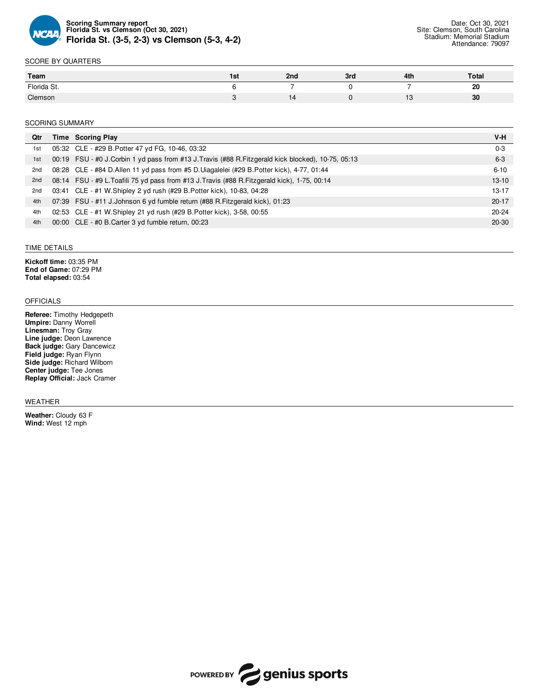

### SCORE BY QUARTERS

| Team        | 1ST | 2nd | 3rd | 4th | <b>Total</b> |
|-------------|-----|-----|-----|-----|--------------|
| Florida St. |     |     |     | -   | 20           |
| Clemson     |     | ıд  |     |     | 30           |

#### SCORING SUMMARY

| Qtr | Time Scoring Play                                                                                 | V-H       |
|-----|---------------------------------------------------------------------------------------------------|-----------|
| 1st | 05:32 CLE - #29 B. Potter 47 yd FG, 10-46, 03:32                                                  | $0 - 3$   |
| 1st | 00:19 FSU - #0 J.Corbin 1 yd pass from #13 J.Travis (#88 R.Fitzgerald kick blocked), 10-75, 05:13 | $6 - 3$   |
| 2nd | 08:28 CLE - #84 D.Allen 11 yd pass from #5 D.Uiagalelei (#29 B.Potter kick), 4-77, 01:44          | $6 - 10$  |
| 2nd | 08:14 FSU - #9 L. Toafili 75 yd pass from #13 J. Travis (#88 R. Fitzgerald kick), 1-75, 00:14     | $13 - 10$ |
| 2nd | 03:41 CLE - #1 W.Shipley 2 yd rush (#29 B.Potter kick), 10-83, 04:28                              | $13 - 17$ |
| 4th | 07:39 FSU - #11 J.Johnson 6 yd fumble return (#88 R. Fitzgerald kick), 01:23                      | $20 - 17$ |
| 4th | 02:53 CLE - #1 W.Shipley 21 yd rush (#29 B.Potter kick), 3-58, 00:55                              | $20 - 24$ |
| 4th | 00:00 CLE - #0 B.Carter 3 yd fumble return, 00:23                                                 | $20 - 30$ |
|     |                                                                                                   |           |

#### TIME DETAILS

**Kickoff time:** 03:35 PM **End of Game:** 07:29 PM **Total elapsed:** 03:54

#### OFFICIALS

**Referee:** Timothy Hedgepeth **Umpire:** Danny Worrell **Linesman:** Troy Gray **Line judge:** Deon Lawrence **Back judge:** Gary Dancewicz **Field judge:** Ryan Flynn **Side judge:** Richard Wilborn **Center judge:** Tee Jones **Replay Official:** Jack Cramer

#### WEATHER

**Weather:** Cloudy 63 F **Wind:** West 12 mph

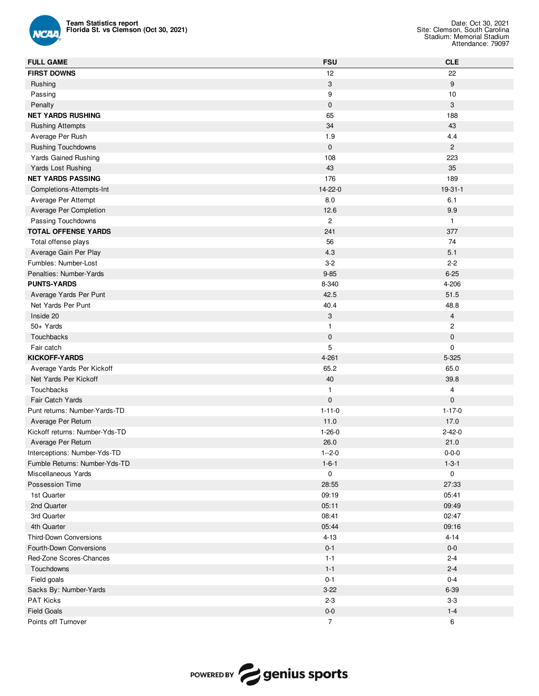

| <b>Team Statistics report</b><br>Florida St. vs Clemson (Oct 30, 2021) |                           | Date: Oct 30, 2021<br>Site: Clemson, South Carolina<br>Stadium: Memorial Stadium<br>Attendance: 79097 |
|------------------------------------------------------------------------|---------------------------|-------------------------------------------------------------------------------------------------------|
| <b>FULL GAME</b>                                                       | <b>FSU</b>                | <b>CLE</b>                                                                                            |
| <b>FIRST DOWNS</b>                                                     | 12                        | 22                                                                                                    |
| Rushing                                                                | $\ensuremath{\mathsf{3}}$ | 9                                                                                                     |
| Passing                                                                | 9                         | 10                                                                                                    |
| Penalty                                                                | $\pmb{0}$                 | $\mathbf{3}$                                                                                          |
| <b>NET YARDS RUSHING</b>                                               | 65                        | 188                                                                                                   |
| <b>Rushing Attempts</b>                                                | 34                        | 43                                                                                                    |
| Average Per Rush                                                       | 1.9                       | 4.4                                                                                                   |
| <b>Rushing Touchdowns</b>                                              | $\mathbf 0$               | $\overline{2}$                                                                                        |
| <b>Yards Gained Rushing</b>                                            | 108                       | 223                                                                                                   |
| Yards Lost Rushing                                                     | 43                        | 35                                                                                                    |
| <b>NET YARDS PASSING</b>                                               | 176                       | 189                                                                                                   |
| Completions-Attempts-Int                                               | 14-22-0                   | 19-31-1                                                                                               |
| Average Per Attempt                                                    | 8.0                       | 6.1                                                                                                   |
| Average Per Completion                                                 | 12.6                      | 9.9                                                                                                   |
| Passing Touchdowns                                                     | $\overline{c}$            | $\mathbf{1}$                                                                                          |
| <b>TOTAL OFFENSE YARDS</b>                                             | 241                       | 377                                                                                                   |
| Total offense plays                                                    | 56                        | 74                                                                                                    |
| Average Gain Per Play                                                  | 4.3                       | 5.1                                                                                                   |
| Fumbles: Number-Lost                                                   | $3 - 2$                   | $2 - 2$                                                                                               |
| Penalties: Number-Yards                                                | $9 - 85$                  | $6 - 25$                                                                                              |
| <b>PUNTS-YARDS</b>                                                     | 8-340                     | 4-206                                                                                                 |
| Average Yards Per Punt                                                 | 42.5                      | 51.5                                                                                                  |
| Net Yards Per Punt                                                     | 40.4                      | 48.8                                                                                                  |
| Inside 20                                                              | 3                         | $\overline{4}$                                                                                        |
| 50+ Yards                                                              | 1                         | $\mathbf{2}$                                                                                          |
| Touchbacks                                                             | $\pmb{0}$                 | $\mathbf 0$                                                                                           |
| Fair catch                                                             | 5                         | 0                                                                                                     |
| <b>KICKOFF-YARDS</b>                                                   | 4-261                     | 5-325                                                                                                 |
| Average Yards Per Kickoff                                              | 65.2                      | 65.0                                                                                                  |
| Net Yards Per Kickoff                                                  | 40                        | 39.8                                                                                                  |
| Touchbacks                                                             | 1                         | $\overline{4}$                                                                                        |
| <b>Fair Catch Yards</b>                                                | $\mathbf 0$               | $\pmb{0}$                                                                                             |
| Punt returns: Number-Yards-TD                                          | $1 - 11 - 0$              | $1 - 17 - 0$                                                                                          |
| Average Per Return                                                     | 11.0                      | 17.0                                                                                                  |
| Kickoff returns: Number-Yds-TD                                         | $1 - 26 - 0$              | $2 - 42 - 0$                                                                                          |
| Average Per Return                                                     | 26.0                      | 21.0                                                                                                  |
| Interceptions: Number-Yds-TD                                           | $1 - 2 - 0$               | $0 - 0 - 0$                                                                                           |
| Fumble Returns: Number-Yds-TD                                          | $1 - 6 - 1$               | $1 - 3 - 1$                                                                                           |
| Miscellaneous Yards                                                    | 0                         | $\mathbf 0$                                                                                           |
| Possession Time                                                        | 28:55                     | 27:33                                                                                                 |
| 1st Quarter                                                            | 09:19                     | 05:41                                                                                                 |
| 2nd Quarter                                                            | 05:11                     | 09:49                                                                                                 |
| 3rd Quarter                                                            | 08:41                     | 02:47                                                                                                 |
| 4th Quarter                                                            | 05:44                     | 09:16                                                                                                 |
| Third-Down Conversions                                                 | $4 - 13$                  | $4 - 14$                                                                                              |
| Fourth-Down Conversions                                                | $0 - 1$                   | $0-0$                                                                                                 |
| Red-Zone Scores-Chances                                                | $1 - 1$                   | $2 - 4$                                                                                               |
| Touchdowns                                                             | $1 - 1$                   | $2 - 4$                                                                                               |
| Field goals                                                            | $0 - 1$                   | $0 - 4$                                                                                               |
| Sacks By: Number-Yards                                                 | $3 - 22$                  | 6-39                                                                                                  |
| PAT Kicks                                                              | $2 - 3$                   | $3-3$                                                                                                 |
| <b>Field Goals</b>                                                     | $0-0$                     | $1 - 4$                                                                                               |
| Points off Turnover                                                    | $\overline{7}$            | 6                                                                                                     |

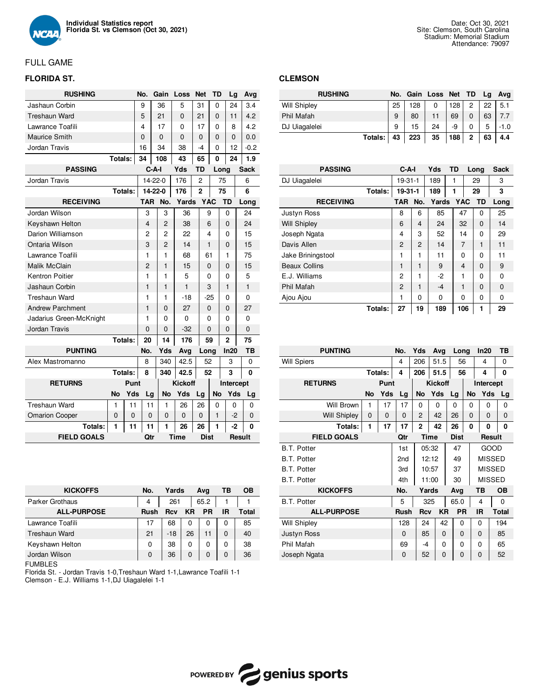

# FULL GAME

## **FLORIDA ST.**

| <b>RUSHING</b>          |           |         | No.        |         | Gain           | Loss           | Net            | TD         | Lg             |  | Avg         |
|-------------------------|-----------|---------|------------|---------|----------------|----------------|----------------|------------|----------------|--|-------------|
| Jashaun Corbin          |           |         | 9          |         | 36             | 5              | 31             | 0          | 24             |  | 3.4         |
| <b>Treshaun Ward</b>    |           |         | 5          |         | 21             | 0              | 21             | 0          | 11             |  | 4.2         |
| Lawrance Toafili        |           |         | 4          |         | 17             | 0              | 17             | 0          | 8              |  | 4.2         |
| <b>Maurice Smith</b>    |           |         | 0          |         | $\overline{0}$ | 0              | 0              | 0          | 0              |  | 0.0         |
| Jordan Travis           |           |         | 16         |         | 34             | 38             | -4             | $\Omega$   | 12             |  | $-0.2$      |
|                         | Totals:   |         | 34         |         | 108            | 43             | 65             |            | 24<br>0        |  | 1.9         |
| <b>PASSING</b>          |           |         |            | $C-A-I$ |                | Yds            | <b>TD</b>      |            | Long           |  | <b>Sack</b> |
| Jordan Travis           |           |         |            | 14-22-0 |                | 176            | $\overline{2}$ |            | 75             |  | 6           |
|                         |           | Totals: |            | 14-22-0 |                | 176            | $\overline{2}$ |            | 75             |  | 6           |
| <b>RECEIVING</b>        |           |         | <b>TAR</b> |         | No.            | Yards          |                | <b>YAC</b> | <b>TD</b>      |  | Long        |
| Jordan Wilson           |           |         | 3          |         | 3              | 36             |                | 9          | 0              |  | 24          |
| Keyshawn Helton         |           |         | 4          |         | 2              | 38             |                | 6          | 0              |  | 24          |
| Darion Williamson       |           |         | 2          |         | 2              | 22             |                | 4          | 0              |  | 15          |
| Ontaria Wilson          |           |         | 3          |         | 2              | 14             |                | 1          | 0              |  | 15          |
| Lawrance Toafili        |           |         | 1          |         | $\mathbf{1}$   | 68             |                | 61         | 1              |  | 75          |
| Malik McClain           |           |         | 2          |         | 1              | 15             |                | 0          | 0              |  | 15          |
| Kentron Poitier         |           |         | 1          |         | 1              | 5              |                | 0          | 0              |  | 5           |
| Jashaun Corbin          |           |         | 1          |         | 1              | 1              |                | 3          | 1              |  | 1           |
| <b>Treshaun Ward</b>    |           |         | 1          |         | 1              | $-18$          |                | -25        | 0              |  | 0           |
| <b>Andrew Parchment</b> |           |         | 1          |         | 0              | 27             |                | 0          | 0              |  | 27          |
| Jadarius Green-McKnight |           |         | 1          |         | 0              | 0              |                | 0          | 0              |  | 0           |
| Jordan Travis           |           |         | 0          |         | 0              | -32            |                | 0          | 0              |  | $\mathbf 0$ |
|                         |           | Totals: | 20         |         | 14             | 176            |                | 59         | $\overline{2}$ |  | 75          |
| <b>PUNTING</b>          |           |         | No.        |         | Yds            | Avg            | Long           |            | In20           |  | TВ          |
| Alex Mastromanno        |           |         | 8          |         | 340            | 42.5           |                | 52         | 3              |  | 0           |
|                         |           | Totals: | 8          |         | 340            | 42.5           |                | 52         | 3              |  | 0           |
| <b>RETURNS</b>          |           | Punt    |            |         |                | <b>Kickoff</b> |                |            | Intercept      |  |             |
|                         | <b>No</b> | Yds     | Lg         |         | <b>No</b>      | Yds            | Lg             | <b>No</b>  | Yds            |  | Lg          |
| <b>Treshaun Ward</b>    | 1         | 11      | 11         |         | 1              | 26             | 26             | 0          | 0              |  | 0           |
| <b>Omarion Cooper</b>   | 0         | 0       | 0          |         | 0              | 0              | 0              | 1          | $-2$           |  | 0           |
| Totals:                 | 1         | 11      | 11         |         | 1              | 26             | 26             | 1          | -2             |  | 0           |
| <b>FIELD GOALS</b>      |           |         | Qtr        |         |                | Time           | <b>Dist</b>    |            |                |  | Result      |

## **CLEMSON**

| <b>RUSHING</b>      | No. |     | Gain Loss Net TD |     |              | La | Ava    |
|---------------------|-----|-----|------------------|-----|--------------|----|--------|
| <b>Will Shipley</b> | 25  | 128 | 0                | 128 | 2            | 22 | 5.1    |
| <b>Phil Mafah</b>   | 9   | 80  |                  | 69  | 0            | 63 | 7.7    |
| DJ Uiagalelei       | 9   | 15  | 24               | -9  |              | 5  | $-1.0$ |
| Totals:             | 43  | 223 | 35               | 188 | $\mathbf{2}$ | 63 | 4.4    |

| <b>PASSING</b>       |         | $C-A-I$        |                | Yds   | <b>TD</b> |                | Long     | <b>Sack</b> |
|----------------------|---------|----------------|----------------|-------|-----------|----------------|----------|-------------|
| DJ Uiagalelei        |         | $19-31-1$      |                | 189   |           |                | 29       | 3           |
|                      | Totals: | $19 - 31 - 1$  |                | 189   | 1         |                | 29       | 3           |
| <b>RECEIVING</b>     |         | TAR.           | No.            | Yards |           | <b>YAC</b>     | TD       | Long        |
| Justyn Ross          |         | 8              | 6              | 85    |           | 47             | 0        | 25          |
| <b>Will Shipley</b>  |         | 6              | 4              | 24    |           | 32             | 0        | 14          |
| Joseph Ngata         |         | 4              | 3              | 52    |           | 14             | 0        | 29          |
| Davis Allen          |         | $\overline{2}$ | $\overline{2}$ | 14    |           | $\overline{7}$ | 1        | 11          |
| Jake Briningstool    |         | 1              | 1              | 11    |           | $\Omega$       | $\Omega$ | 11          |
| <b>Beaux Collins</b> |         | 1              | 1              | 9     |           | 4              | $\Omega$ | 9           |
| E.J. Williams        |         | 2              | 1              | $-2$  |           | 1              | 0        | $\Omega$    |
| Phil Mafah           |         | $\overline{2}$ | 1              | $-4$  |           | 1              | $\Omega$ | $\Omega$    |
| Ajou Ajou            |         | 1              | $\Omega$       | 0     |           | 0              | 0        | $\Omega$    |
|                      | Totals: | 27             | 19             | 189   |           | 106            | 1        | 29          |

| <b>PUNTING</b>     |           |                | No.         | Yds        | Avg            | Long        |    | In20         | TВ           | <b>PUNTING</b>      |           |              | No.             | Yds          | Avg       | Long        |                | In20          | TВ        |  |  |
|--------------------|-----------|----------------|-------------|------------|----------------|-------------|----|--------------|--------------|---------------------|-----------|--------------|-----------------|--------------|-----------|-------------|----------------|---------------|-----------|--|--|
| romanno            |           |                | 8           | 340        | 42.5           | 52          |    | 3            | $\mathbf 0$  | <b>Will Spiers</b>  |           |              | 4               | 206          | 51.5      | 56          |                | 4             | $\Omega$  |  |  |
|                    |           | <b>Totals:</b> | 8           | 340        | 42.5           | 52          |    | 3            | 0            |                     |           | Totals:      | 4               | 206          | 51.5      | 56          |                | 4             | 0         |  |  |
| <b>TURNS</b>       |           | Punt           |             |            | <b>Kickoff</b> |             |    | Intercept    |              | <b>RETURNS</b>      |           | Punt         |                 |              |           |             | <b>Kickoff</b> |               | Intercept |  |  |
|                    | <b>No</b> | <b>Yds</b>     | Lg          | No         | Yds            | Lg          | No | Yds          | Lg           |                     | <b>No</b> | Yds          | Lg              | No           | Yds       | Lg          | No             | Yds           | Lg        |  |  |
| Ward               |           | 11             | 11          |            | 26             | 26          | 0  | 0            | $\Omega$     | Will Brown          |           | 17           | 17              | 0            | $\Omega$  | 0           | 0              | 0             | $\Omega$  |  |  |
| Cooper             | 0         | 0              | $\Omega$    | $\Omega$   | $\Omega$       | $\Omega$    |    | $-2$         | $\mathbf{0}$ | <b>Will Shipley</b> | $\Omega$  | $\mathbf{0}$ | $\Omega$        | 2            | 42        | 26          | 0              | $\Omega$      | $\Omega$  |  |  |
| Totals:            |           | 11             | 11          |            | 26             | 26          |    | $-2$         | $\mathbf{0}$ | Totals:             |           | 17           | 17              | $\mathbf{2}$ | 42        | 26          | 0              | 0             | $\Omega$  |  |  |
| <b>FIELD GOALS</b> |           |                | Qtr         |            | Time           | <b>Dist</b> |    | Result       |              | <b>FIELD GOALS</b>  |           |              | Qtr             |              | Time      | <b>Dist</b> |                | Result        |           |  |  |
|                    |           |                |             |            |                |             |    |              |              | <b>B.T. Potter</b>  |           |              | 1st             | 05:32        |           | 47          |                | GOOD          |           |  |  |
|                    |           |                |             |            |                |             |    |              |              | <b>B.T. Potter</b>  |           |              | 2 <sub>nd</sub> | 12:12        |           | 49          |                | <b>MISSED</b> |           |  |  |
|                    |           |                |             |            |                |             |    |              |              | <b>B.T. Potter</b>  |           |              | 3rd             |              | 10:57     | 37          |                | <b>MISSED</b> |           |  |  |
|                    |           |                |             |            |                |             |    |              |              | <b>B.T. Potter</b>  |           |              | 4th             |              | 11:00     | 30          |                | <b>MISSED</b> |           |  |  |
| <b>KICKOFFS</b>    |           |                | No.         | Yards      |                | Avg         |    | <b>TB</b>    | <b>OB</b>    | <b>KICKOFFS</b>     |           |              | No.             | Yards        |           | Avg         |                | ТB            | <b>OB</b> |  |  |
| othaus             |           |                | 4           | 261        |                | 65.2        |    |              |              | <b>B.T. Potter</b>  |           |              | 5               | 325          |           | 65.0        |                | 4             | 0         |  |  |
| <b>ALL-PURPOSE</b> |           |                | <b>Rush</b> | <b>Rcv</b> | <b>KR</b>      | PR          |    | <b>IR</b>    | <b>Total</b> | <b>ALL-PURPOSE</b>  |           |              | <b>Rush</b>     | <b>Rcv</b>   | <b>KR</b> | <b>PR</b>   | <b>IR</b>      |               | Total     |  |  |
| Toafili            |           |                | 17          | 68         | $\Omega$       | $\Omega$    |    | $\Omega$     | 85           | <b>Will Shipley</b> |           |              | 128             | 24           | 42        | $\Omega$    | $\Omega$       |               | 194       |  |  |
| Ward               |           |                | 21          | $-18$      | 26             | 11          |    | $\mathbf{0}$ | 40           | <b>Justyn Ross</b>  |           |              | $\Omega$        | 85           | 0         | 0           | $\Omega$       |               | 85        |  |  |
| l Helton           |           |                | 0           | 38         | 0              | $\Omega$    |    | $\Omega$     | 38           | Phil Mafah          |           |              | 69              | -4           | $\Omega$  | 0           | $\Omega$       |               | 65        |  |  |
| Ison               |           |                | $\Omega$    | 36         | $\Omega$       | $\mathbf 0$ |    | 0            | 36           | Joseph Ngata        |           |              | 0               | 52           | 0         | 0           | $\Omega$       |               | 52        |  |  |

| <b>ALL-PURPOSE</b>   | Rush     | Rcv   | <b>KR</b> | <b>PR</b> | IR | Total |
|----------------------|----------|-------|-----------|-----------|----|-------|
| Lawrance Toafili     | 17       | 68    | 0         | 0         |    | 85    |
| <b>Treshaun Ward</b> | 21       | $-18$ | 26        |           |    | 40    |
| Keyshawn Helton      | 0        | 38    | 0         | 0         |    | 38    |
| Jordan Wilson        | $\Omega$ | 36    | 0         | 0         |    | 36    |
| <b>FUMBLES</b>       |          |       |           |           |    |       |

Parker Grothaus | 4 | 261 | 65.2 | 1 | 1

Florida St. - Jordan Travis 1-0,Treshaun Ward 1-1,Lawrance Toafili 1-1 Clemson - E.J. Williams 1-1,DJ Uiagalelei 1-1

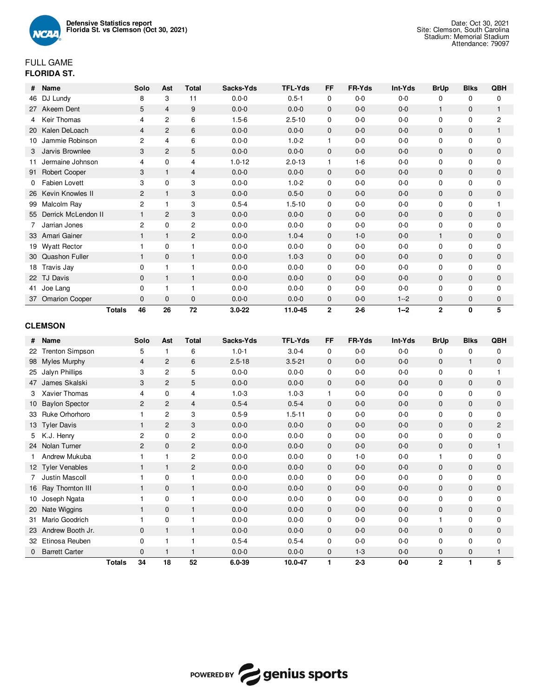

## FULL GAME **FLORIDA ST.**

| #         | Name                  | Solo           | Ast            | Total          | Sacks-Yds  | <b>TFL-Yds</b> | FF           | FR-Yds  | Int-Yds | <b>BrUp</b>    | <b>Blks</b>  | QBH            |
|-----------|-----------------------|----------------|----------------|----------------|------------|----------------|--------------|---------|---------|----------------|--------------|----------------|
| 46        | DJ Lundy              | 8              | 3              | 11             | $0.0 - 0$  | $0.5 - 1$      | $\mathbf 0$  | $0-0$   | $0-0$   | 0              | $\mathbf 0$  | 0              |
| 27        | Akeem Dent            | 5              | $\overline{4}$ | 9              | $0.0 - 0$  | $0.0 - 0$      | $\mathbf{0}$ | $0-0$   | $0-0$   | $\mathbf{1}$   | $\mathbf{0}$ | $\mathbf{1}$   |
|           | Keir Thomas           | 4              | $\overline{c}$ | 6              | $1.5 - 6$  | $2.5 - 10$     | 0            | $0-0$   | $0-0$   | $\mathbf 0$    | 0            | $\overline{c}$ |
| <b>20</b> | Kalen DeLoach         | $\overline{4}$ | 2              | 6              | $0.0 - 0$  | $0.0 - 0$      | $\mathbf{0}$ | $0-0$   | $0-0$   | $\mathbf{0}$   | $\mathbf{0}$ | $\mathbf{1}$   |
| 10        | Jammie Robinson       | $\overline{2}$ | 4              | 6              | $0.0 - 0$  | $1.0 - 2$      | 1            | $0-0$   | $0-0$   | 0              | 0            | $\mathbf 0$    |
| 3         | Jarvis Brownlee       | 3              | 2              | 5              | $0.0 - 0$  | $0.0 - 0$      | $\mathbf{0}$ | $0-0$   | $0-0$   | $\mathbf{0}$   | $\mathbf{0}$ | $\mathbf{0}$   |
| 11        | Jermaine Johnson      | 4              | $\mathbf 0$    | 4              | $1.0 - 12$ | $2.0 - 13$     | $\mathbf 1$  | $1 - 6$ | $0-0$   | $\mathbf 0$    | $\mathbf 0$  | $\mathbf 0$    |
| 91        | Robert Cooper         | 3              |                | $\overline{4}$ | $0.0 - 0$  | $0.0 - 0$      | $\mathbf{0}$ | $0-0$   | $0 - 0$ | $\mathbf{0}$   | $\mathbf{0}$ | $\mathbf{0}$   |
| 0         | Fabien Lovett         | 3              | $\mathbf 0$    | 3              | $0.0 - 0$  | $1.0 - 2$      | $\mathbf 0$  | $0-0$   | $0-0$   | $\mathbf 0$    | 0            | $\mathbf 0$    |
| 26        | Kevin Knowles II      | $\overline{c}$ |                | 3              | $0.0 - 0$  | $0.5 - 0$      | $\mathbf 0$  | $0-0$   | $0-0$   | $\mathbf 0$    | 0            | $\mathbf 0$    |
| 99        | Malcolm Ray           | 2              |                | 3              | $0.5 - 4$  | $1.5 - 10$     | 0            | $0-0$   | $0-0$   | $\mathbf 0$    | 0            |                |
| 55        | Derrick McLendon II   |                | 2              | 3              | $0.0 - 0$  | $0.0 - 0$      | $\mathbf 0$  | $0-0$   | $0-0$   | $\mathbf 0$    | $\mathbf 0$  | 0              |
|           | Jarrian Jones         | $\overline{c}$ | $\mathbf 0$    | 2              | $0.0 - 0$  | $0.0 - 0$      | $\mathbf 0$  | $0-0$   | $0-0$   | 0              | 0            | $\mathbf 0$    |
| 33        | Amari Gainer          |                |                | 2              | $0.0 - 0$  | $1.0 - 4$      | $\mathbf{0}$ | $1-0$   | $0-0$   | $\mathbf{1}$   | $\mathbf{0}$ | $\mathbf{0}$   |
| 19        | <b>Wyatt Rector</b>   |                | $\Omega$       |                | $0.0 - 0$  | $0.0 - 0$      | $\mathbf 0$  | $0-0$   | $0-0$   | $\mathbf 0$    | 0            | $\mathbf 0$    |
| 30        | Quashon Fuller        | $\mathbf{1}$   | $\mathbf{0}$   | $\mathbf{1}$   | $0.0 - 0$  | $1.0 - 3$      | $\mathbf{0}$ | $0-0$   | $0-0$   | $\mathbf{0}$   | $\mathbf{0}$ | $\mathbf{0}$   |
| 18        | Travis Jay            | 0              |                |                | $0.0 - 0$  | $0.0 - 0$      | 0            | $0-0$   | $0-0$   | 0              | 0            | 0              |
| 22        | TJ Davis              | $\Omega$       |                | $\mathbf 1$    | $0.0 - 0$  | $0.0 - 0$      | $\mathbf{0}$ | $0-0$   | $0-0$   | $\mathbf{0}$   | $\mathbf{0}$ | $\mathbf{0}$   |
| 41        | Joe Lang              | $\Omega$       |                |                | $0.0 - 0$  | $0.0 - 0$      | 0            | $0-0$   | $0-0$   | $\mathbf 0$    | 0            | $\mathbf 0$    |
| 37        | <b>Omarion Cooper</b> | $\mathbf{0}$   | $\mathbf{0}$   | $\mathbf{0}$   | $0.0 - 0$  | $0.0 - 0$      | $\mathbf{0}$ | $0-0$   | $1 - 2$ | $\mathbf{0}$   | 0            | $\mathbf 0$    |
|           | <b>Totals</b>         | 46             | 26             | 72             | $3.0 - 22$ | 11.0-45        | $\mathbf{2}$ | $2 - 6$ | $1 - 2$ | $\overline{2}$ | 0            | 5              |

## **CLEMSON**

| #               | Name                   |               | Solo           | Ast            | <b>Total</b>   | Sacks-Yds  | <b>TFL-Yds</b> | <b>FF</b>    | FR-Yds  | Int-Yds | <b>BrUp</b>    | <b>Blks</b>  | QBH            |
|-----------------|------------------------|---------------|----------------|----------------|----------------|------------|----------------|--------------|---------|---------|----------------|--------------|----------------|
| 22              | <b>Trenton Simpson</b> |               | 5              | $\mathbf{1}$   | 6              | $1.0 - 1$  | $3.0 - 4$      | $\mathbf{0}$ | $0 - 0$ | $0-0$   | 0              | 0            | 0              |
| 98              | <b>Myles Murphy</b>    |               | $\overline{4}$ | 2              | 6              | $2.5 - 18$ | $3.5 - 21$     | $\mathbf{0}$ | $0 - 0$ | $0-0$   | 0              | $\mathbf{1}$ | $\mathbf 0$    |
| 25              | Jalyn Phillips         |               | 3              | $\overline{c}$ | 5              | $0.0 - 0$  | $0.0 - 0$      | 0            | $0-0$   | $0-0$   | $\mathbf 0$    | 0            | 1              |
| 47              | James Skalski          |               | 3              | 2              | 5              | $0.0 - 0$  | $0.0 - 0$      | $\mathbf{0}$ | $0 - 0$ | $0-0$   | 0              | $\mathbf{0}$ | $\mathbf 0$    |
| 3               | Xavier Thomas          |               | 4              | $\mathbf 0$    | $\overline{4}$ | $1.0 - 3$  | $1.0 - 3$      | $\mathbf{1}$ | $0 - 0$ | $0-0$   | $\mathbf 0$    | 0            | $\mathbf 0$    |
| 10              | <b>Baylon Spector</b>  |               | $\overline{2}$ | 2              | $\overline{4}$ | $0.5 - 4$  | $0.5 - 4$      | $\mathbf{0}$ | $0-0$   | $0-0$   | 0              | $\mathbf{0}$ | $\mathbf 0$    |
| 33              | Ruke Orhorhoro         |               |                | 2              | 3              | $0.5 - 9$  | $1.5 - 11$     | $\mathbf 0$  | $0-0$   | $0-0$   | 0              | 0            | $\mathbf 0$    |
| 13              | <b>Tyler Davis</b>     |               |                | $\overline{2}$ | 3              | $0.0 - 0$  | $0.0 - 0$      | $\mathbf{0}$ | $0-0$   | $0-0$   | 0              | $\mathbf{0}$ | $\overline{2}$ |
| 5               | K.J. Henry             |               | $\overline{2}$ | $\mathbf 0$    | $\overline{c}$ | $0.0 - 0$  | $0.0 - 0$      | 0            | $0-0$   | $0-0$   | $\mathbf 0$    | 0            | $\mathbf 0$    |
| 24              | Nolan Turner           |               | $\overline{2}$ | $\mathbf{0}$   | $\overline{2}$ | $0.0 - 0$  | $0.0 - 0$      | $\mathbf{0}$ | $0 - 0$ | $0-0$   | 0              | $\mathbf{0}$ | 1              |
|                 | Andrew Mukuba          |               |                |                | $\overline{c}$ | $0.0 - 0$  | $0.0 - 0$      | $\mathbf 0$  | $1 - 0$ | $0-0$   | 1              | $\mathbf 0$  | $\mathbf 0$    |
| 12 <sup>2</sup> | <b>Tyler Venables</b>  |               |                |                | $\overline{2}$ | $0.0 - 0$  | $0.0 - 0$      | $\mathbf{0}$ | $0 - 0$ | $0-0$   | 0              | $\mathbf{0}$ | $\mathbf{0}$   |
|                 | Justin Mascoll         |               |                | $\mathbf 0$    |                | $0.0 - 0$  | $0.0 - 0$      | 0            | $0-0$   | $0-0$   | $\mathbf 0$    | 0            | $\mathbf 0$    |
| 16              | Ray Thornton III       |               | 1              | $\mathbf{0}$   | $\mathbf{1}$   | $0.0 - 0$  | $0.0 - 0$      | $\mathbf 0$  | $0 - 0$ | $0-0$   | 0              | 0            | 0              |
| 10              | Joseph Ngata           |               |                | $\Omega$       |                | $0.0 - 0$  | $0.0 - 0$      | $\mathbf 0$  | $0 - 0$ | $0 - 0$ | 0              | 0            | $\mathbf 0$    |
| 20              | Nate Wiggins           |               | 1              | $\mathbf{0}$   |                | $0.0 - 0$  | $0.0 - 0$      | $\mathbf{0}$ | $0 - 0$ | $0 - 0$ | 0              | $\mathbf{0}$ | $\mathbf 0$    |
| 31              | Mario Goodrich         |               |                | $\mathbf 0$    |                | $0.0 - 0$  | $0.0 - 0$      | $\mathbf 0$  | $0-0$   | $0-0$   | 1              | $\mathbf 0$  | $\mathbf 0$    |
| 23              | Andrew Booth Jr.       |               | $\Omega$       | 1              | $\mathbf 1$    | $0.0 - 0$  | $0.0 - 0$      | $\mathbf{0}$ | $0 - 0$ | $0-0$   | 0              | $\mathbf{0}$ | $\mathbf{0}$   |
| 32              | Etinosa Reuben         |               | $\Omega$       |                |                | $0.5 - 4$  | $0.5 - 4$      | $\mathbf 0$  | $0-0$   | $0-0$   | $\mathbf 0$    | 0            | $\mathbf 0$    |
| 0               | <b>Barrett Carter</b>  |               | $\mathbf{0}$   |                |                | $0.0 - 0$  | $0.0 - 0$      | $\mathbf{0}$ | $1 - 3$ | $0-0$   | 0              | 0            | 1              |
|                 |                        | <b>Totals</b> | 34             | 18             | 52             | 6.0-39     | 10.0-47        | 1            | $2 - 3$ | $0-0$   | $\overline{2}$ | 1            | 5              |

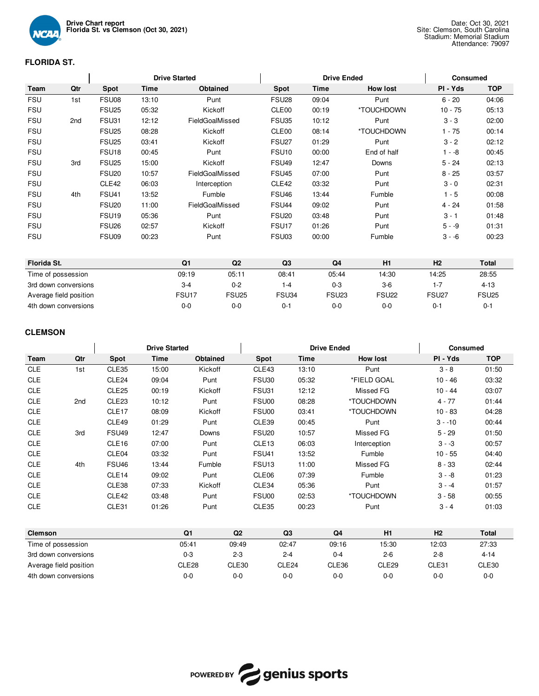

## **FLORIDA ST.**

|             |                        |                   |       | <b>Drive Started</b> | <b>Drive Ended</b> |                   |                |                 |                   | <b>Consumed</b> |
|-------------|------------------------|-------------------|-------|----------------------|--------------------|-------------------|----------------|-----------------|-------------------|-----------------|
| Team        | Qtr                    | <b>Spot</b>       | Time  |                      | <b>Obtained</b>    | <b>Spot</b>       | Time           | <b>How lost</b> | PI - Yds          | <b>TOP</b>      |
| <b>FSU</b>  | 1st                    | FSU08             | 13:10 |                      | Punt               | FSU <sub>28</sub> | 09:04          | Punt            | $6 - 20$          | 04:06           |
| <b>FSU</b>  |                        | <b>FSU25</b>      | 05:32 |                      | Kickoff            | CLE00             | 00:19          | *TOUCHDOWN      | $10 - 75$         | 05:13           |
| <b>FSU</b>  | 2nd                    | FSU31             | 12:12 |                      | FieldGoalMissed    | <b>FSU35</b>      | 10:12          | Punt            | $3 - 3$           | 02:00           |
| <b>FSU</b>  |                        | FSU <sub>25</sub> | 08:28 |                      | Kickoff            | CLE00             | 08:14          | *TOUCHDOWN      | $1 - 75$          | 00:14           |
| <b>FSU</b>  |                        | <b>FSU25</b>      | 03:41 |                      | Kickoff            | FSU <sub>27</sub> | 01:29          | Punt            | $3 - 2$           | 02:12           |
| <b>FSU</b>  |                        | FSU <sub>18</sub> | 00:45 |                      | Punt               | <b>FSU10</b>      | 00:00          | End of half     | $1 - -8$          | 00:45           |
| <b>FSU</b>  | 3rd                    | <b>FSU25</b>      | 15:00 |                      | Kickoff            | FSU <sub>49</sub> | 12:47          | Downs           | $5 - 24$          | 02:13           |
| <b>FSU</b>  |                        | <b>FSU20</b>      | 10:57 |                      | FieldGoalMissed    | <b>FSU45</b>      | 07:00          | Punt            | $8 - 25$          | 03:57           |
| <b>FSU</b>  |                        | CLE42             | 06:03 |                      | Interception       | CLE42             | 03:32          | Punt            | $3 - 0$           | 02:31           |
| <b>FSU</b>  | 4th                    | <b>FSU41</b>      | 13:52 |                      | Fumble             | <b>FSU46</b>      | 13:44          | Fumble          | $1 - 5$           | 00:08           |
| <b>FSU</b>  |                        | <b>FSU20</b>      | 11:00 |                      | FieldGoalMissed    | <b>FSU44</b>      | 09:02          | Punt            | $4 - 24$          | 01:58           |
| <b>FSU</b>  |                        | <b>FSU19</b>      | 05:36 |                      | Punt               | FSU <sub>20</sub> | 03:48          | Punt            | $3 - 1$           | 01:48           |
| <b>FSU</b>  |                        | <b>FSU26</b>      | 02:57 |                      | Kickoff            | FSU <sub>17</sub> | 01:26          | Punt            | $5 - -9$          | 01:31           |
| <b>FSU</b>  |                        | FSU09             | 00:23 |                      | Punt               | FSU03             | 00:00          | Fumble          | $3 - 6$           | 00:23           |
|             |                        |                   |       |                      |                    |                   |                |                 |                   |                 |
| Florida St. |                        |                   |       | Q <sub>1</sub>       | Q2                 | Q3                | Q <sub>4</sub> | H1              | H <sub>2</sub>    | Total           |
|             | Time of possession     |                   |       | 09:19                | 05:11              | 08:41             | 05:44          | 14:30           | 14:25             | 28:55           |
|             | 3rd down conversions   |                   |       | $3 - 4$              | $0 - 2$            | $1 - 4$           | $0 - 3$        | $3-6$           | $1 - 7$           | $4 - 13$        |
|             | Average field position |                   |       | FSU <sub>17</sub>    | <b>FSU25</b>       | FSU34             | <b>FSU23</b>   | <b>FSU22</b>    | FSU <sub>27</sub> | <b>FSU25</b>    |
|             | 4th down conversions   |                   |       | $0-0$                | $0 - 0$            | $0 - 1$           | $0-0$          | $0 - 0$         | $0 - 1$           | $0 - 1$         |

## **CLEMSON**

|                        |     | <b>Drive Started</b> |       |          |         |                   | <b>Drive Ended</b> |                | <b>Consumed</b>   |           |              |  |
|------------------------|-----|----------------------|-------|----------|---------|-------------------|--------------------|----------------|-------------------|-----------|--------------|--|
| Team                   | Qtr | Spot                 | Time  | Obtained |         | Spot              | Time               |                | <b>How lost</b>   | PI - Yds  | <b>TOP</b>   |  |
| <b>CLE</b>             | 1st | CLE35                | 15:00 | Kickoff  |         | CLE43             | 13:10              |                | Punt              | $3 - 8$   | 01:50        |  |
| <b>CLE</b>             |     | CLE24                | 09:04 | Punt     |         | <b>FSU30</b>      | 05:32              |                | *FIELD GOAL       | $10 - 46$ | 03:32        |  |
| <b>CLE</b>             |     | CLE <sub>25</sub>    | 00:19 | Kickoff  |         | FSU31             | 12:12              |                | Missed FG         | $10 - 44$ | 03:07        |  |
| <b>CLE</b>             | 2nd | CLE <sub>23</sub>    | 10:12 | Punt     |         | FSU00             | 08:28              |                | *TOUCHDOWN        | $4 - 77$  | 01:44        |  |
| <b>CLE</b>             |     | CLE <sub>17</sub>    | 08:09 | Kickoff  |         | FSU00             | 03:41              |                | *TOUCHDOWN        | $10 - 83$ | 04:28        |  |
| <b>CLE</b>             |     | CLE49                | 01:29 | Punt     |         | CLE39             | 00:45              |                | Punt              | $3 - 10$  | 00:44        |  |
| <b>CLE</b>             | 3rd | <b>FSU49</b>         | 12:47 | Downs    |         | <b>FSU20</b>      | 10:57              |                | Missed FG         | $5 - 29$  | 01:50        |  |
| <b>CLE</b>             |     | CLE <sub>16</sub>    | 07:00 | Punt     |         | CLE <sub>13</sub> | 06:03              |                | Interception      | $3 - 3$   | 00:57        |  |
| <b>CLE</b>             |     | CLE04                | 03:32 | Punt     |         | <b>FSU41</b>      | 13:52              |                | Fumble            | $10 - 55$ | 04:40        |  |
| <b>CLE</b>             | 4th | <b>FSU46</b>         | 13:44 | Fumble   |         | FSU <sub>13</sub> | 11:00              |                | Missed FG         | $8 - 33$  | 02:44        |  |
| <b>CLE</b>             |     | CLE <sub>14</sub>    | 09:02 | Punt     |         | CLE <sub>06</sub> | 07:39              |                | Fumble            | $3 - -8$  | 01:23        |  |
| <b>CLE</b>             |     | CLE38                | 07:33 | Kickoff  |         | CLE34             | 05:36              |                | Punt              | $3 - 4$   | 01:57        |  |
| <b>CLE</b>             |     | CLE42                | 03:48 | Punt     |         | FSU00             | 02:53              |                | *TOUCHDOWN        | $3 - 58$  | 00:55        |  |
| <b>CLE</b>             |     | CLE31                | 01:26 | Punt     |         | CLE35             | 00:23              |                | Punt              | $3 - 4$   | 01:03        |  |
|                        |     |                      |       |          |         |                   |                    |                |                   |           |              |  |
| <b>Clemson</b>         |     |                      |       | Q1       | Q2      |                   | Q <sub>3</sub>     | Q <sub>4</sub> | H1                | H2        | <b>Total</b> |  |
| Time of possession     |     |                      |       | 05:41    | 09:49   |                   | 02:47              | 09:16          | 15:30             | 12:03     | 27:33        |  |
| 3rd down conversions   |     |                      |       | $0-3$    | $2 - 3$ |                   | $2 - 4$            | $0 - 4$        | $2 - 6$           | $2 - 8$   | $4 - 14$     |  |
| Average field position |     |                      |       | CLE28    | CLE30   |                   | CLE24              | CLE36          | CLE <sub>29</sub> | CLE31     | CLE30        |  |



4th down conversions 0-0 0-0 0-0 0-0 0-0 0-0 0-0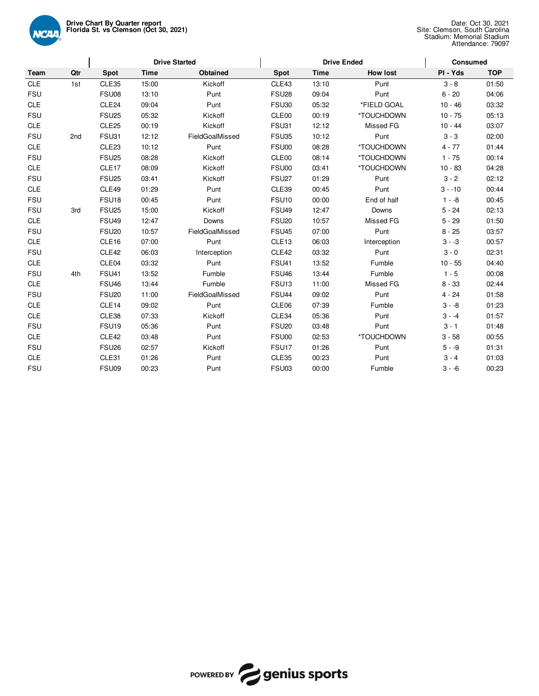

|            |                 |                   |             | <b>Drive Started</b> |                   | <b>Drive Ended</b> |                 | Consumed  |            |
|------------|-----------------|-------------------|-------------|----------------------|-------------------|--------------------|-----------------|-----------|------------|
| Team       | Qtr             | Spot              | <b>Time</b> | Obtained             | <b>Spot</b>       | <b>Time</b>        | <b>How lost</b> | PI - Yds  | <b>TOP</b> |
| <b>CLE</b> | 1st             | CLE35             | 15:00       | Kickoff              | CLE43             | 13:10              | Punt            | $3 - 8$   | 01:50      |
| <b>FSU</b> |                 | FSU08             | 13:10       | Punt                 | FSU <sub>28</sub> | 09:04              | Punt            | $6 - 20$  | 04:06      |
| <b>CLE</b> |                 | CLE24             | 09:04       | Punt                 | <b>FSU30</b>      | 05:32              | *FIELD GOAL     | $10 - 46$ | 03:32      |
| <b>FSU</b> |                 | <b>FSU25</b>      | 05:32       | Kickoff              | CLE00             | 00:19              | *TOUCHDOWN      | $10 - 75$ | 05:13      |
| <b>CLE</b> |                 | CLE <sub>25</sub> | 00:19       | Kickoff              | FSU31             | 12:12              | Missed FG       | $10 - 44$ | 03:07      |
| <b>FSU</b> | 2 <sub>nd</sub> | FSU31             | 12:12       | FieldGoalMissed      | <b>FSU35</b>      | 10:12              | Punt            | $3 - 3$   | 02:00      |
| <b>CLE</b> |                 | CLE <sub>23</sub> | 10:12       | Punt                 | FSU00             | 08:28              | *TOUCHDOWN      | $4 - 77$  | 01:44      |
| <b>FSU</b> |                 | <b>FSU25</b>      | 08:28       | Kickoff              | CLE00             | 08:14              | *TOUCHDOWN      | $1 - 75$  | 00:14      |
| <b>CLE</b> |                 | CLE <sub>17</sub> | 08:09       | Kickoff              | FSU00             | 03:41              | *TOUCHDOWN      | $10 - 83$ | 04:28      |
| <b>FSU</b> |                 | <b>FSU25</b>      | 03:41       | Kickoff              | FSU <sub>27</sub> | 01:29              | Punt            | $3 - 2$   | 02:12      |
| <b>CLE</b> |                 | CLE49             | 01:29       | Punt                 | CLE39             | 00:45              | Punt            | $3 - -10$ | 00:44      |
| <b>FSU</b> |                 | FSU <sub>18</sub> | 00:45       | Punt                 | <b>FSU10</b>      | 00:00              | End of half     | $1 - -8$  | 00:45      |
| <b>FSU</b> | 3rd             | <b>FSU25</b>      | 15:00       | Kickoff              | <b>FSU49</b>      | 12:47              | Downs           | $5 - 24$  | 02:13      |
| <b>CLE</b> |                 | <b>FSU49</b>      | 12:47       | Downs                | <b>FSU20</b>      | 10:57              | Missed FG       | $5 - 29$  | 01:50      |
| <b>FSU</b> |                 | <b>FSU20</b>      | 10:57       | FieldGoalMissed      | <b>FSU45</b>      | 07:00              | Punt            | $8 - 25$  | 03:57      |
| <b>CLE</b> |                 | CLE16             | 07:00       | Punt                 | CLE <sub>13</sub> | 06:03              | Interception    | $3 - -3$  | 00:57      |
| <b>FSU</b> |                 | CLE42             | 06:03       | Interception         | CLE42             | 03:32              | Punt            | $3 - 0$   | 02:31      |
| <b>CLE</b> |                 | CLE04             | 03:32       | Punt                 | <b>FSU41</b>      | 13:52              | Fumble          | $10 - 55$ | 04:40      |
| <b>FSU</b> | 4th             | <b>FSU41</b>      | 13:52       | Fumble               | <b>FSU46</b>      | 13:44              | Fumble          | $1 - 5$   | 00:08      |
| <b>CLE</b> |                 | FSU <sub>46</sub> | 13:44       | Fumble               | FSU <sub>13</sub> | 11:00              | Missed FG       | $8 - 33$  | 02:44      |
| <b>FSU</b> |                 | <b>FSU20</b>      | 11:00       | FieldGoalMissed      | <b>FSU44</b>      | 09:02              | Punt            | $4 - 24$  | 01:58      |
| <b>CLE</b> |                 | CLE14             | 09:02       | Punt                 | CLE06             | 07:39              | Fumble          | $3 - -8$  | 01:23      |
| <b>CLE</b> |                 | CLE38             | 07:33       | Kickoff              | CLE34             | 05:36              | Punt            | $3 - 4$   | 01:57      |
| <b>FSU</b> |                 | FSU <sub>19</sub> | 05:36       | Punt                 | <b>FSU20</b>      | 03:48              | Punt            | $3 - 1$   | 01:48      |
| <b>CLE</b> |                 | CLE42             | 03:48       | Punt                 | FSU00             | 02:53              | *TOUCHDOWN      | $3 - 58$  | 00:55      |
| <b>FSU</b> |                 | FSU <sub>26</sub> | 02:57       | Kickoff              | FSU <sub>17</sub> | 01:26              | Punt            | $5 - -9$  | 01:31      |
| <b>CLE</b> |                 | CLE31             | 01:26       | Punt                 | CLE35             | 00:23              | Punt            | $3 - 4$   | 01:03      |
| <b>FSU</b> |                 | FSU09             | 00:23       | Punt                 | FSU03             | 00:00              | Fumble          | $3 - 6$   | 00:23      |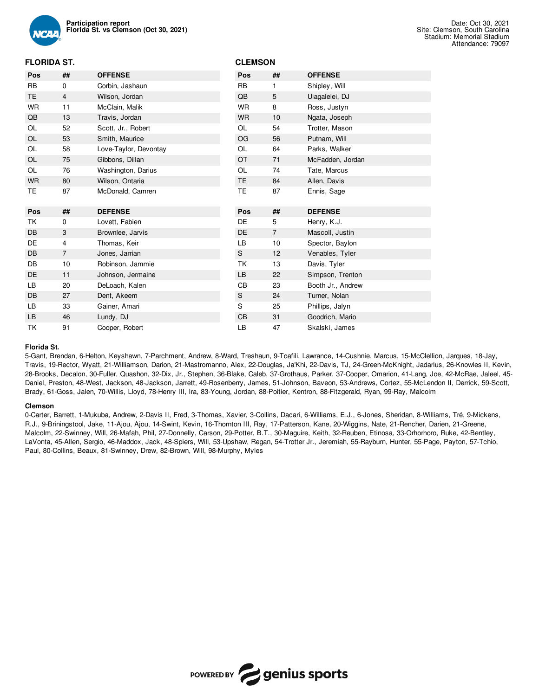

## **FLORIDA ST.**

| Pos       | ##             | <b>OFFENSE</b>        | Pos           | ##             | <b>OFFENSE</b>    |
|-----------|----------------|-----------------------|---------------|----------------|-------------------|
|           |                |                       |               |                |                   |
| <b>RB</b> | 0              | Corbin, Jashaun       | <b>RB</b>     | 1              | Shipley, Will     |
| <b>TE</b> | $\overline{4}$ | Wilson, Jordan        | QB            | 5              | Uiagalelei, DJ    |
| <b>WR</b> | 11             | McClain, Malik        | <b>WR</b>     | 8              | Ross, Justyn      |
| QB        | 13             | Travis, Jordan        | <b>WR</b>     | 10             | Ngata, Joseph     |
| OL        | 52             | Scott, Jr., Robert    | <b>OL</b>     | 54             | Trotter, Mason    |
| OL        | 53             | Smith, Maurice        | OG            | 56             | Putnam, Will      |
| OL        | 58             | Love-Taylor, Devontay | OL            | 64             | Parks, Walker     |
| OL        | 75             | Gibbons, Dillan       | <b>OT</b>     | 71             | McFadden, Jordan  |
| OL        | 76             | Washington, Darius    | OL            | 74             | Tate, Marcus      |
| <b>WR</b> | 80             | Wilson, Ontaria       | TE            | 84             | Allen, Davis      |
| TE        | 87             | McDonald, Camren      | <b>TE</b>     | 87             | Ennis, Sage       |
|           |                |                       |               |                |                   |
| Pos       | ##             | <b>DEFENSE</b>        | Pos           | ##             | <b>DEFENSE</b>    |
| TK        | 0              | Lovett, Fabien        | DE            | 5              | Henry, K.J.       |
| <b>DB</b> | 3              | Brownlee, Jarvis      | <b>DE</b>     | $\overline{7}$ | Mascoll, Justin   |
| <b>DE</b> | 4              | Thomas, Keir          | LB            | 10             | Spector, Baylon   |
| DB        | $\overline{7}$ | Jones, Jarrian        | $\mathbf S$   | 12             | Venables, Tyler   |
| <b>DB</b> | 10             | Robinson, Jammie      | ТK            | 13             | Davis, Tyler      |
| <b>DE</b> | 11             | Johnson, Jermaine     | LB            | 22             | Simpson, Trenton  |
| LB        | 20             | DeLoach, Kalen        | CB            | 23             | Booth Jr., Andrew |
| <b>DB</b> | 27             | Dent, Akeem           | ${\sf S}$     | 24             | Turner, Nolan     |
| LB.       | 33             | Gainer, Amari         | S             | 25             | Phillips, Jalyn   |
| LB        | 46             | Lundy, DJ             | $\mathsf{CB}$ | 31             | Goodrich, Mario   |

**CLEMSON**

#### **Florida St.**

5-Gant, Brendan, 6-Helton, Keyshawn, 7-Parchment, Andrew, 8-Ward, Treshaun, 9-Toafili, Lawrance, 14-Cushnie, Marcus, 15-McClellion, Jarques, 18-Jay, Travis, 19-Rector, Wyatt, 21-Williamson, Darion, 21-Mastromanno, Alex, 22-Douglas, Ja'Khi, 22-Davis, TJ, 24-Green-McKnight, Jadarius, 26-Knowles II, Kevin, 28-Brooks, Decalon, 30-Fuller, Quashon, 32-Dix, Jr., Stephen, 36-Blake, Caleb, 37-Grothaus, Parker, 37-Cooper, Omarion, 41-Lang, Joe, 42-McRae, Jaleel, 45- Daniel, Preston, 48-West, Jackson, 48-Jackson, Jarrett, 49-Rosenberry, James, 51-Johnson, Baveon, 53-Andrews, Cortez, 55-McLendon II, Derrick, 59-Scott, Brady, 61-Goss, Jalen, 70-Willis, Lloyd, 78-Henry III, Ira, 83-Young, Jordan, 88-Poitier, Kentron, 88-Fitzgerald, Ryan, 99-Ray, Malcolm

#### **Clemson**

0-Carter, Barrett, 1-Mukuba, Andrew, 2-Davis II, Fred, 3-Thomas, Xavier, 3-Collins, Dacari, 6-Williams, E.J., 6-Jones, Sheridan, 8-Williams, Tré, 9-Mickens, R.J., 9-Briningstool, Jake, 11-Ajou, Ajou, 14-Swint, Kevin, 16-Thornton III, Ray, 17-Patterson, Kane, 20-Wiggins, Nate, 21-Rencher, Darien, 21-Greene, Malcolm, 22-Swinney, Will, 26-Mafah, Phil, 27-Donnelly, Carson, 29-Potter, B.T., 30-Maguire, Keith, 32-Reuben, Etinosa, 33-Orhorhoro, Ruke, 42-Bentley, LaVonta, 45-Allen, Sergio, 46-Maddox, Jack, 48-Spiers, Will, 53-Upshaw, Regan, 54-Trotter Jr., Jeremiah, 55-Rayburn, Hunter, 55-Page, Payton, 57-Tchio, Paul, 80-Collins, Beaux, 81-Swinney, Drew, 82-Brown, Will, 98-Murphy, Myles

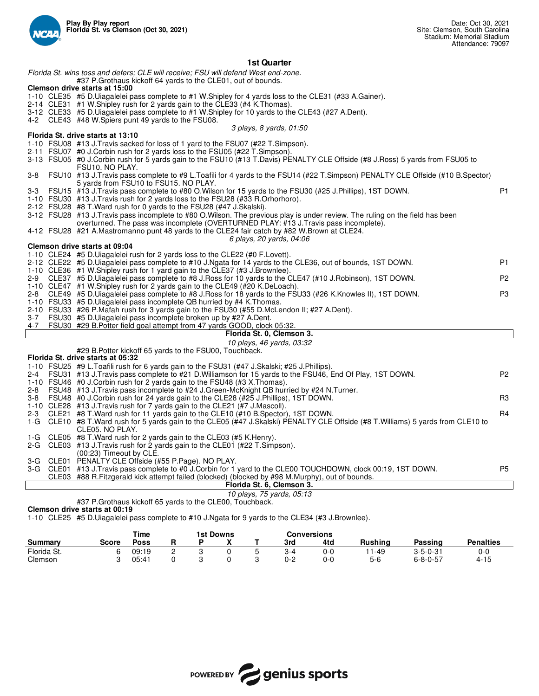

## **1st Quarter**

*Florida St. wins toss and defers; CLE will receive; FSU will defend West end-zone.* #37 P.Grothaus kickoff 64 yards to the CLE01, out of bounds. **Clemson drive starts at 15:00** 1-10 CLE35 #5 D.Uiagalelei pass complete to #1 W.Shipley for 4 yards loss to the CLE31 (#33 A.Gainer). 2-14 CLE31 #1 W.Shipley rush for 2 yards gain to the CLE33 (#4 K.Thomas). 3-12 CLE33 #5 D.Uiagalelei pass complete to #1 W.Shipley for 10 yards to the CLE43 (#27 A.Dent). CLE43 #48 W.Spiers punt 49 yards to the FSU08. *3 plays, 8 yards, 01:50* **Florida St. drive starts at 13:10** 1-10 FSU08 #13 J.Travis sacked for loss of 1 yard to the FSU07 (#22 T.Simpson). 2-11 FSU07 #0 J.Corbin rush for 2 yards loss to the FSU05 (#22 T.Simpson). 3-13 FSU05 #0 J.Corbin rush for 5 yards gain to the FSU10 (#13 T.Davis) PENALTY CLE Offside (#8 J.Ross) 5 yards from FSU05 to FSU10. NO PLAY. 3-8 FSU10 #13 J.Travis pass complete to #9 L.Toafili for 4 yards to the FSU14 (#22 T.Simpson) PENALTY CLE Offside (#10 B.Spector) 5 yards from FSU10 to FSU15. NO PLAY. 3-3 FSU15 #13 J.Travis pass complete to #80 O.Wilson for 15 yards to the FSU30 (#25 J.Phillips), 1ST DOWN. P1 1-10 FSU30 #13 J.Travis rush for 2 yards loss to the FSU28 (#33 R.Orhorhoro). 2-12 FSU28 #8 T.Ward rush for 0 yards to the FSU28 (#47 J.Skalski). 3-12 FSU28 #13 J.Travis pass incomplete to #80 O.Wilson. The previous play is under review. The ruling on the field has been overturned. The pass was incomplete (OVERTURNED PLAY: #13 J.Travis pass incomplete). 4-12 FSU28 #21 A.Mastromanno punt 48 yards to the CLE24 fair catch by #82 W.Brown at CLE24. *6 plays, 20 yards, 04:06* **Clemson drive starts at 09:04** 1-10 CLE24 #5 D.Uiagalelei rush for 2 yards loss to the CLE22 (#0 F.Lovett). 2-12 CLE22 #5 D.Uiagalelei pass complete to #10 J.Ngata for 14 yards to the CLE36, out of bounds, 1ST DOWN. P1 1-10 CLE36 #1 W.Shipley rush for 1 yard gain to the CLE37 (#3 J.Brownlee). 2-9 CLE37 #5 D.Uiagalelei pass complete to #8 J.Ross for 10 yards to the CLE47 (#10 J.Robinson), 1ST DOWN. P2 1-10 CLE47 #1 W.Shipley rush for 2 yards gain to the CLE49 (#20 K.DeLoach)<br>2-8 CLE49 #5 D.Ulagalelei pass complete to #8 J.Ross for 18 yards to the FS 2-8 CLE49 #5 D.Uiagalelei pass complete to #8 J.Ross for 18 yards to the FSU33 (#26 K.Knowles II), 1ST DOWN. P3 1-10 FSU33 #5 D.Uiagalelei pass incomplete QB hurried by #4 K.Thomas. 2-10 FSU33 #26 P.Mafah rush for 3 yards gain to the FSU30 (#55 D.McLendon II; #27 A.Dent). 3-7 FSU30 #5 D.Uiagalelei pass incomplete broken up by #27 A.Dent. FSU30 #29 B. Potter field goal attempt from 47 yards GOOD, clock 05:32. **Florida St. 0, Clemson 3.** *10 plays, 46 yards, 03:32* #29 B.Potter kickoff 65 yards to the FSU00, Touchback. **Florida St. drive starts at 05:32** 1-10 FSU25 #9 L.Toafili rush for 6 yards gain to the FSU31 (#47 J.Skalski; #25 J.Phillips). 2-4 FSU31 #13 J.Travis pass complete to #21 D.Williamson for 15 yards to the FSU46, End Of Play, 1ST DOWN. P2 1-10 FSU46 #0 J.Corbin rush for 2 yards gain to the FSU48 (#3 X.Thomas). 2-8 FSU48 #13 J.Travis pass incomplete to #24 J.Green-McKnight QB hurried by #24 N.Turner. 3-8 FSU48 #0 J.Corbin rush for 24 yards gain to the CLE28 (#25 J.Phillips), 1ST DOWN. The Superson Communisty R3 1-10 CLE28 #13 J.Travis rush for 7 yards gain to the CLE21 (#7 J.Mascoll). 2-3 CLE21 #8 T. Ward rush for 11 yards gain to the CLE10 (#10 B. Spector), 1ST DOWN. 1-G CLE10 #8 T.Ward rush for 5 yards gain to the CLE05 (#47 J.Skalski) PENALTY CLE Offside (#8 T.Williams) 5 yards from CLE10 to CLE05. NO PLAY. 1-G CLE05 #8 T.Ward rush for 2 yards gain to the CLE03 (#5 K.Henry). #13 J.Travis rush for 2 yards gain to the CLE01 (#22 T.Simpson). (00:23) Timeout by CLE. 3-G CLE01 PENALTY CLE Offside (#55 P.Page). NO PLAY. 3-G CLE01 #13 J.Travis pass complete to #0 J.Corbin for 1 yard to the CLE00 TOUCHDOWN, clock 00:19, 1ST DOWN. P5 CLE03 #88 R.Fitzgerald kick attempt failed (blocked) (blocked by #98 M.Murphy), out of bounds. **Florida St. 6, Clemson 3.** *10 plays, 75 yards, 05:13* #37 P.Grothaus kickoff 65 yards to the CLE00, Touchback. **Clemson drive starts at 00:19**

1-10 CLE25 #5 D.Uiagalelei pass complete to #10 J.Ngata for 9 yards to the CLE34 (#3 J.Brownlee).

|             |       | Time  |   | 1st Downs      |         | <b>Conversions</b> |         |                  |                  |
|-------------|-------|-------|---|----------------|---------|--------------------|---------|------------------|------------------|
| Summarv     | Score | Poss  |   | $\blacksquare$ | 3rd     | 4td                | Rushina | Passing          | <b>Penalties</b> |
| Florida St. |       | 09:19 | - |                | $3 - 4$ | 0-0                | 1-49    | $3 - 5 - 0 - 31$ | 0-0              |
| Clemson     |       | 05:41 |   |                | 0-2     | 0-0                | $5-6$   | 6-8-0-57         | $4 - 15$         |

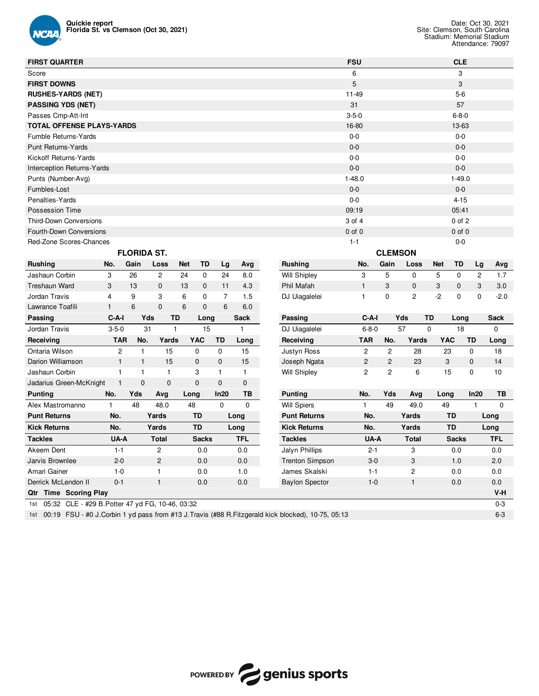

| <b>FIRST QUARTER</b>                                    |                |                    |                |       |              |                |              |                        | <b>FSU</b>     |                |                |             | <b>CLE</b>   |                |             |
|---------------------------------------------------------|----------------|--------------------|----------------|-------|--------------|----------------|--------------|------------------------|----------------|----------------|----------------|-------------|--------------|----------------|-------------|
| Score                                                   |                |                    |                |       |              |                |              |                        | 6              |                |                |             | 3            |                |             |
| <b>FIRST DOWNS</b>                                      |                |                    |                |       |              |                |              |                        | $\overline{5}$ |                |                |             | 3            |                |             |
| <b>RUSHES-YARDS (NET)</b>                               |                |                    |                |       |              |                |              |                        | $11 - 49$      |                |                |             | $5-6$        |                |             |
| <b>PASSING YDS (NET)</b>                                |                |                    |                |       |              |                |              |                        | 31             |                |                |             | 57           |                |             |
| Passes Cmp-Att-Int                                      |                |                    |                |       |              |                |              |                        | $3 - 5 - 0$    |                |                |             | $6 - 8 - 0$  |                |             |
| <b>TOTAL OFFENSE PLAYS-YARDS</b>                        |                |                    |                |       |              |                |              |                        | 16-80          |                |                |             | 13-63        |                |             |
| Fumble Returns-Yards                                    |                |                    |                |       |              |                |              |                        | $0-0$          |                |                |             | $0 - 0$      |                |             |
| <b>Punt Returns-Yards</b>                               |                |                    |                |       |              |                |              |                        | $0-0$          |                |                |             | $0 - 0$      |                |             |
| Kickoff Returns-Yards                                   |                |                    |                |       |              |                |              |                        | $0-0$          |                |                |             | $0-0$        |                |             |
| <b>Interception Returns-Yards</b>                       |                |                    |                |       |              |                |              |                        | $0 - 0$        |                |                |             | $0 - 0$      |                |             |
| Punts (Number-Avg)                                      |                |                    |                |       |              |                |              |                        | $1 - 48.0$     |                |                |             | $1 - 49.0$   |                |             |
| Fumbles-Lost                                            |                |                    |                |       |              |                |              |                        | $0 - 0$        |                |                |             | $0 - 0$      |                |             |
| Penalties-Yards                                         |                |                    |                |       |              |                |              |                        | $0-0$          |                |                |             | $4 - 15$     |                |             |
| <b>Possession Time</b>                                  |                |                    |                |       |              |                |              |                        | 09:19          |                |                |             | 05:41        |                |             |
| <b>Third-Down Conversions</b>                           |                |                    |                |       |              |                |              |                        | 3 of 4         |                |                |             | $0$ of $2$   |                |             |
| Fourth-Down Conversions                                 |                |                    |                |       |              |                |              |                        | $0$ of $0$     |                |                |             | $0$ of $0$   |                |             |
| Red-Zone Scores-Chances                                 |                |                    |                |       |              |                |              |                        | $1 - 1$        |                |                |             | $0-0$        |                |             |
|                                                         |                | <b>FLORIDA ST.</b> |                |       |              |                |              |                        |                | <b>CLEMSON</b> |                |             |              |                |             |
| <b>Rushing</b>                                          | No.            | Gain               | Loss           | Net   | TD           | Lg             | Avg          | <b>Rushing</b>         | No.            | Gain           | Loss           | <b>Net</b>  | TD           | Lg             | Avg         |
| Jashaun Corbin                                          | 3              | 26                 | $\overline{c}$ | 24    | $\mathbf 0$  | 24             | 8.0          | <b>Will Shipley</b>    | 3              | 5              | $\mathbf 0$    | 5           | $\mathbf 0$  | $\overline{2}$ | 1.7         |
| <b>Treshaun Ward</b>                                    | 3              | 13                 | $\mathbf 0$    | 13    | $\mathbf 0$  | 11             | 4.3          | Phil Mafah             | $\mathbf{1}$   | 3              | $\mathbf 0$    | 3           | $\mathbf 0$  | 3              | 3.0         |
| Jordan Travis                                           | 4              | 9                  | 3              | 6     | 0            | $\overline{7}$ | 1.5          | DJ Uiagalelei          | $\mathbf{1}$   | $\mathbf 0$    | $\overline{c}$ | $-2$        | $\pmb{0}$    | $\mathbf 0$    | $-2.0$      |
| Lawrance Toafili                                        | $\mathbf{1}$   | $\,6$              | $\mathsf 0$    | $\,6$ | $\mathbf{0}$ | 6              | 6.0          |                        |                |                |                |             |              |                |             |
| Passing                                                 | C-A-I          | Yds                | TD             |       | Long         |                | <b>Sack</b>  | Passing                | $C-A-I$        |                | Yds            | TD          | Long         |                | <b>Sack</b> |
| Jordan Travis                                           | $3 - 5 - 0$    | 31                 | $\mathbf{1}$   |       | 15           |                | $\mathbf{1}$ | DJ Uiagalelei          | $6 - 8 - 0$    |                | 57             | $\mathbf 0$ | 18           |                | 0           |
| Receiving                                               | <b>TAR</b>     | No.                | Yards          |       | <b>YAC</b>   | TD             | Long         | Receiving              | <b>TAR</b>     | No.            | Yards          | <b>YAC</b>  |              | TD             | Long        |
| Ontaria Wilson                                          | $\overline{2}$ | $\mathbf{1}$       | 15             |       | $\mathbf 0$  | $\mathbf 0$    | 15           | Justyn Ross            | $\overline{c}$ | $\overline{c}$ | 28             | 23          |              | $\mathbf 0$    | 18          |
| Darion Williamson                                       | $\mathbf{1}$   | $\mathbf{1}$       | 15             |       | $\mathbf 0$  | $\mathbf 0$    | 15           | Joseph Ngata           | $\mathbf 2$    | $\overline{c}$ | 23             | 3           |              | $\mathbf 0$    | 14          |
| Jashaun Corbin                                          | 1              | $\mathbf{1}$       | 1              |       | 3            | 1              | 1            | <b>Will Shipley</b>    | $\overline{c}$ | $\overline{c}$ | 6              | 15          |              | $\mathbf 0$    | 10          |
| Jadarius Green-McKnight                                 | $\mathbf{1}$   | $\mathbf{0}$       | $\mathbf 0$    |       | $\mathbf 0$  | 0              | 0            |                        |                |                |                |             |              |                |             |
| <b>Punting</b>                                          | No.            | Yds                | Avg            | Long  |              | In20           | TB           | <b>Punting</b>         | No.            | Yds            | Avg            | Long        |              | In20           | ТB          |
| Alex Mastromanno                                        | 1              | 48                 | 48.0           | 48    |              | $\mathbf 0$    | $\mathbf 0$  | <b>Will Spiers</b>     | $\mathbf{1}$   | 49             | 49.0           | 49          |              | $\mathbf{1}$   | 0           |
| <b>Punt Returns</b>                                     | No.            |                    | Yards          |       | TD           |                | Long         | <b>Punt Returns</b>    | No.            |                | Yards          |             | TD           |                | Long        |
| <b>Kick Returns</b>                                     | No.            |                    | Yards          |       | TD           |                | Long         | <b>Kick Returns</b>    | No.            |                | Yards          |             | <b>TD</b>    |                | Long        |
| <b>Tackles</b>                                          | UA-A           |                    | <b>Total</b>   |       | <b>Sacks</b> |                | <b>TFL</b>   | <b>Tackles</b>         | UA-A           |                | <b>Total</b>   |             | <b>Sacks</b> |                | <b>TFL</b>  |
| Akeem Dent                                              | $1 - 1$        |                    | $\mathbf 2$    |       | 0.0          |                | 0.0          | Jalyn Phillips         | $2 - 1$        |                | 3              |             | 0.0          |                | 0.0         |
| Jarvis Brownlee                                         | $2 - 0$        |                    | 2              |       | 0.0          |                | 0.0          | <b>Trenton Simpson</b> | $3-0$          |                | 3              |             | 1.0          |                | 2.0         |
| Amari Gainer                                            | $1 - 0$        |                    | $\mathbf{1}$   |       | 0.0          |                | 1.0          | James Skalski          | $1 - 1$        |                | $\overline{c}$ |             | 0.0          |                | 0.0         |
| Derrick McLendon II                                     | $0 - 1$        |                    | $\mathbf{1}$   |       | 0.0          |                | 0.0          | <b>Baylon Spector</b>  | $1 - 0$        |                | $\mathbf{1}$   |             | 0.0          |                | 0.0         |
| Qtr Time Scoring Play                                   |                |                    |                |       |              |                |              |                        |                |                |                |             |              |                | V-H         |
| 05:32 CLE - #29 B. Potter 47 yd FG, 10-46, 03:32<br>1st |                |                    |                |       |              |                |              |                        |                |                |                |             |              |                | $0 - 3$     |

1st 00:19 FSU - #0 J.Corbin 1 yd pass from #13 J.Travis (#88 R.Fitzgerald kick blocked), 10-75, 05:13 6-3

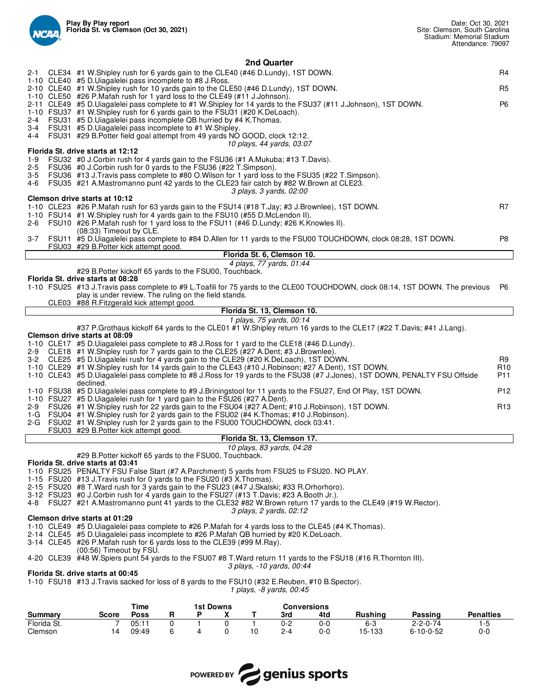

|                |                                                                                                                                                                                                |             |   |                  |   | 2nd Quarter                 |     |                |                                                                                                                                |                  |
|----------------|------------------------------------------------------------------------------------------------------------------------------------------------------------------------------------------------|-------------|---|------------------|---|-----------------------------|-----|----------------|--------------------------------------------------------------------------------------------------------------------------------|------------------|
|                | 2-1 CLE34 #1 W. Shipley rush for 6 yards gain to the CLE40 (#46 D. Lundy), 1ST DOWN.                                                                                                           |             |   |                  |   |                             |     |                |                                                                                                                                | R4               |
|                | 1-10 CLE40 #5 D.Uiagalelei pass incomplete to #8 J.Ross.<br>2-10 CLE40 #1 W.Shipley rush for 10 yards gain to the CLE50 (#46 D.Lundy), 1ST DOWN.                                               |             |   |                  |   |                             |     |                |                                                                                                                                | R5               |
|                | 1-10 CLE50 #26 P.Mafah rush for 1 yard loss to the CLE49 (#11 J.Johnson).                                                                                                                      |             |   |                  |   |                             |     |                |                                                                                                                                |                  |
|                | 2-11 CLE49 #5 D.Uiagalelei pass complete to #1 W.Shipley for 14 yards to the FSU37 (#11 J.Johnson), 1ST DOWN.<br>1-10 FSU37 #1 W.Shipley rush for 6 yards gain to the FSU31 (#20 K.DeLoach).   |             |   |                  |   |                             |     |                |                                                                                                                                | P <sub>6</sub>   |
|                | 2-4 FSU31 #5 D.Uiagalelei pass incomplete QB hurried by #4 K.Thomas.                                                                                                                           |             |   |                  |   |                             |     |                |                                                                                                                                |                  |
|                | 3-4 FSU31 #5 D. Ulagalelei pass incomplete to #1 W. Shipley.                                                                                                                                   |             |   |                  |   |                             |     |                |                                                                                                                                |                  |
|                | 4-4 FSU31 #29 B. Potter field goal attempt from 49 yards NO GOOD, clock 12:12.                                                                                                                 |             |   |                  |   | 10 plays, 44 yards, 03:07   |     |                |                                                                                                                                |                  |
|                | Florida St. drive starts at 12:12                                                                                                                                                              |             |   |                  |   |                             |     |                |                                                                                                                                |                  |
| 1-9<br>2-5     | FSU32 #0 J.Corbin rush for 4 yards gain to the FSU36 (#1 A.Mukuba; #13 T.Davis).<br>FSU36 #0 J.Corbin rush for 0 yards to the FSU36 (#22 T.Simpson).                                           |             |   |                  |   |                             |     |                |                                                                                                                                |                  |
|                | 3-5 FSU36 #13 J.Travis pass complete to #80 O.Wilson for 1 yard loss to the FSU35 (#22 T.Simpson).                                                                                             |             |   |                  |   |                             |     |                |                                                                                                                                |                  |
| 4-6            | FSU35 #21 A.Mastromanno punt 42 yards to the CLE23 fair catch by #82 W.Brown at CLE23.                                                                                                         |             |   |                  |   |                             |     |                |                                                                                                                                |                  |
|                | Clemson drive starts at 10:12                                                                                                                                                                  |             |   |                  |   | 3 plays, 3 yards, 02:00     |     |                |                                                                                                                                |                  |
|                | 1-10 CLE23 #26 P.Mafah rush for 63 yards gain to the FSU14 (#18 T.Jay; #3 J.Brownlee), 1ST DOWN.                                                                                               |             |   |                  |   |                             |     |                |                                                                                                                                | R7               |
|                | 1-10 FSU14 #1 W.Shipley rush for 4 yards gain to the FSU10 (#55 D.McLendon II).<br>2-6 FSU10 #26 P.Mafah rush for 1 yard loss to the FSU11 (#46 D.Lundy; #26 K.Knowles II).                    |             |   |                  |   |                             |     |                |                                                                                                                                |                  |
|                | (08:33) Timeout by CLE.                                                                                                                                                                        |             |   |                  |   |                             |     |                |                                                                                                                                |                  |
|                | FSU03 #29 B. Potter kick attempt good.                                                                                                                                                         |             |   |                  |   |                             |     |                | 3-7 FSU11 #5 D.Uiagalelei pass complete to #84 D.Allen for 11 yards to the FSU00 TOUCHDOWN, clock 08:28, 1ST DOWN.             | P8               |
|                |                                                                                                                                                                                                |             |   |                  |   | Florida St. 6, Clemson 10.  |     |                |                                                                                                                                |                  |
|                |                                                                                                                                                                                                |             |   |                  |   | 4 plays, 77 yards, 01:44    |     |                |                                                                                                                                |                  |
|                | #29 B. Potter kickoff 65 yards to the FSU00, Touchback.<br>Florida St. drive starts at 08:28                                                                                                   |             |   |                  |   |                             |     |                |                                                                                                                                |                  |
|                |                                                                                                                                                                                                |             |   |                  |   |                             |     |                | 1-10 FSU25 #13 J.Travis pass complete to #9 L.Toafili for 75 yards to the CLE00 TOUCHDOWN, clock 08:14, 1ST DOWN. The previous | P6               |
|                | play is under review. The ruling on the field stands.<br>CLE03 #88 R.Fitzgerald kick attempt good.                                                                                             |             |   |                  |   |                             |     |                |                                                                                                                                |                  |
|                |                                                                                                                                                                                                |             |   |                  |   | Florida St. 13, Clemson 10. |     |                |                                                                                                                                |                  |
|                |                                                                                                                                                                                                |             |   |                  |   | 1 plays, 75 yards, 00:14    |     |                |                                                                                                                                |                  |
|                | Clemson drive starts at 08:09                                                                                                                                                                  |             |   |                  |   |                             |     |                | #37 P.Grothaus kickoff 64 yards to the CLE01 #1 W.Shipley return 16 yards to the CLE17 (#22 T.Davis; #41 J.Lang).              |                  |
|                | 1-10 CLE17 #5 D.Uiagalelei pass complete to #8 J.Ross for 1 yard to the CLE18 (#46 D.Lundy).                                                                                                   |             |   |                  |   |                             |     |                |                                                                                                                                |                  |
|                | 2-9 CLE18 #1 W.Shipley rush for 7 yards gain to the CLE25 (#27 A.Dent; #3 J.Brownlee).<br>3-2 CLE25 #5 D.Uiagalelei rush for 4 yards gain to the CLE29 (#20 K.DeLoach), 1ST DOWN.              |             |   |                  |   |                             |     |                |                                                                                                                                | R9               |
|                | 1-10 CLE29 #1 W.Shipley rush for 14 yards gain to the CLE43 (#10 J.Robinson; #27 A.Dent), 1ST DOWN.                                                                                            |             |   |                  |   |                             |     |                |                                                                                                                                | R <sub>10</sub>  |
|                | declined.                                                                                                                                                                                      |             |   |                  |   |                             |     |                | 1-10 CLE43 #5 D.Uiagalelei pass complete to #8 J.Ross for 19 yards to the FSU38 (#7 J.Jones), 1ST DOWN, PENALTY FSU Offside    | P <sub>11</sub>  |
|                | 1-10 FSU38 #5 D.Uiagalelei pass complete to #9 J.Briningstool for 11 yards to the FSU27, End Of Play, 1ST DOWN.                                                                                |             |   |                  |   |                             |     |                |                                                                                                                                | P <sub>12</sub>  |
|                | 1-10 FSU27 #5 D. Ulagalelei rush for 1 yard gain to the FSU26 (#27 A. Dent).                                                                                                                   |             |   |                  |   |                             |     |                |                                                                                                                                |                  |
|                | 2-9 FSU26 #1 W.Shipley rush for 22 yards gain to the FSU04 (#27 A.Dent; #10 J.Robinson), 1ST DOWN.<br>1-G FSU04 #1 W.Shipley rush for 2 yards gain to the FSU02 (#4 K.Thomas; #10 J.Robinson). |             |   |                  |   |                             |     |                |                                                                                                                                | R <sub>13</sub>  |
|                | 2-G FSU02 #1 W.Shipley rush for 2 yards gain to the FSU00 TOUCHDOWN, clock 03:41.                                                                                                              |             |   |                  |   |                             |     |                |                                                                                                                                |                  |
|                | FSU03 #29 B. Potter kick attempt good.                                                                                                                                                         |             |   |                  |   | Florida St. 13, Clemson 17. |     |                |                                                                                                                                |                  |
|                |                                                                                                                                                                                                |             |   |                  |   | 10 plays, 83 yards, 04:28   |     |                |                                                                                                                                |                  |
|                | #29 B. Potter kickoff 65 yards to the FSU00, Touchback.                                                                                                                                        |             |   |                  |   |                             |     |                |                                                                                                                                |                  |
|                | Florida St. drive starts at 03:41<br>1-10 FSU25 PENALTY FSU False Start (#7 A.Parchment) 5 yards from FSU25 to FSU20. NO PLAY.                                                                 |             |   |                  |   |                             |     |                |                                                                                                                                |                  |
|                | 1-15 FSU20 #13 J. Travis rush for 0 yards to the FSU20 (#3 X. Thomas).                                                                                                                         |             |   |                  |   |                             |     |                |                                                                                                                                |                  |
|                | 2-15 FSU20 #8 T. Ward rush for 3 yards gain to the FSU23 (#47 J. Skalski; #33 R. Orhorhoro).<br>3-12 FSU23 #0 J.Corbin rush for 4 yards gain to the FSU27 (#13 T.Davis; #23 A.Booth Jr.).      |             |   |                  |   |                             |     |                |                                                                                                                                |                  |
|                | 4-8 FSU27 #21 A.Mastromanno punt 41 yards to the CLE32 #82 W.Brown return 17 yards to the CLE49 (#19 W.Rector).                                                                                |             |   |                  |   |                             |     |                |                                                                                                                                |                  |
|                | Clemson drive starts at 01:29                                                                                                                                                                  |             |   |                  |   | 3 plays, 2 yards, 02:12     |     |                |                                                                                                                                |                  |
|                | 1-10 CLE49 #5 D.Uiagalelei pass complete to #26 P.Mafah for 4 yards loss to the CLE45 (#4 K.Thomas).                                                                                           |             |   |                  |   |                             |     |                |                                                                                                                                |                  |
|                | 2-14 CLE45 #5 D.Uiagalelei pass incomplete to #26 P.Mafah QB hurried by #20 K.DeLoach.                                                                                                         |             |   |                  |   |                             |     |                |                                                                                                                                |                  |
|                | 3-14 CLE45 #26 P.Mafah rush for 6 yards loss to the CLE39 (#99 M.Ray).<br>(00:56) Timeout by FSU.                                                                                              |             |   |                  |   |                             |     |                |                                                                                                                                |                  |
|                | 4-20 CLE39 #48 W. Spiers punt 54 yards to the FSU07 #8 T. Ward return 11 yards to the FSU18 (#16 R. Thornton III).                                                                             |             |   |                  |   |                             |     |                |                                                                                                                                |                  |
|                | Florida St. drive starts at 00:45                                                                                                                                                              |             |   |                  |   | 3 plays, -10 yards, 00:44   |     |                |                                                                                                                                |                  |
|                | 1-10 FSU18 #13 J. Travis sacked for loss of 8 yards to the FSU10 (#32 E. Reuben, #10 B. Spector).                                                                                              |             |   |                  |   |                             |     |                |                                                                                                                                |                  |
|                |                                                                                                                                                                                                |             |   |                  |   | 1 plays, -8 yards, 00:45    |     |                |                                                                                                                                |                  |
|                |                                                                                                                                                                                                | Time        |   | <b>1st Downs</b> |   | <b>Conversions</b>          |     |                |                                                                                                                                |                  |
| <b>Summary</b> | Score                                                                                                                                                                                          | <b>Poss</b> | R | X<br>P           | T | 3rd                         | 4td | <b>Rushing</b> | Passing                                                                                                                        | <b>Penalties</b> |



Florida St. 7 05:11 0 1 0 1 0-2 0-0 6-3 2-2-0-74 1-5 Clemson 14 09:49 6 4 0 10 2-4 0-0 15-133 6-10-0-52 0-0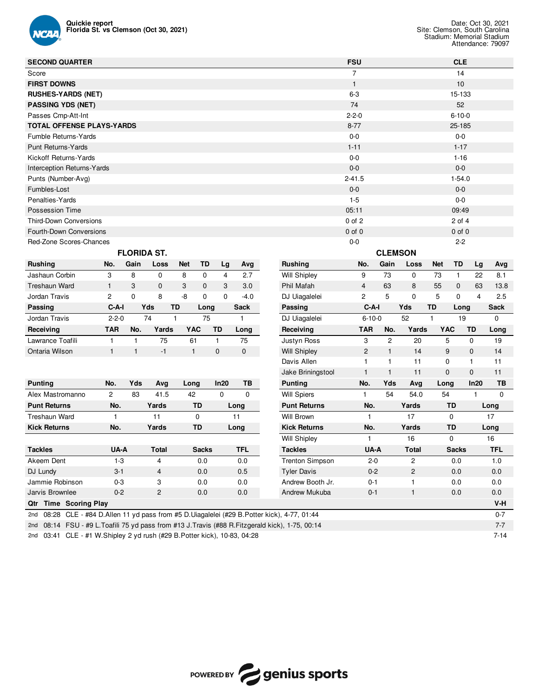

| <b>SECOND QUARTER</b>                                                                             |                |              |                    |                |              |                         |              |                        | <b>FSU</b>     |                |                         |              | <b>CLE</b>   |                |             |
|---------------------------------------------------------------------------------------------------|----------------|--------------|--------------------|----------------|--------------|-------------------------|--------------|------------------------|----------------|----------------|-------------------------|--------------|--------------|----------------|-------------|
| Score                                                                                             |                |              |                    |                |              |                         |              |                        | $\overline{7}$ |                |                         |              | 14           |                |             |
| <b>FIRST DOWNS</b>                                                                                |                |              |                    |                |              |                         |              |                        | $\mathbf{1}$   |                |                         |              | 10           |                |             |
| <b>RUSHES-YARDS (NET)</b>                                                                         |                |              |                    |                |              |                         |              |                        | $6-3$          |                |                         |              | 15-133       |                |             |
| <b>PASSING YDS (NET)</b>                                                                          |                |              |                    |                |              |                         |              |                        | 74             |                |                         |              | 52           |                |             |
| Passes Cmp-Att-Int                                                                                |                |              |                    |                |              |                         |              |                        | $2 - 2 - 0$    |                |                         |              | $6 - 10 - 0$ |                |             |
| <b>TOTAL OFFENSE PLAYS-YARDS</b>                                                                  |                |              |                    |                |              |                         |              |                        | $8 - 77$       |                |                         |              | 25-185       |                |             |
| Fumble Returns-Yards                                                                              |                |              |                    |                |              |                         |              |                        | $0-0$          |                |                         |              | $0-0$        |                |             |
| <b>Punt Returns-Yards</b>                                                                         |                |              |                    |                |              |                         |              |                        | $1 - 11$       |                |                         |              | $1 - 17$     |                |             |
| Kickoff Returns-Yards                                                                             |                |              |                    |                |              |                         |              |                        | $0-0$          |                |                         |              | $1 - 16$     |                |             |
| <b>Interception Returns-Yards</b>                                                                 |                |              |                    |                |              |                         |              |                        | $0-0$          |                |                         |              | $0-0$        |                |             |
| Punts (Number-Avg)                                                                                |                |              |                    |                |              |                         |              |                        | $2 - 41.5$     |                |                         |              | $1 - 54.0$   |                |             |
| Fumbles-Lost                                                                                      |                |              |                    |                |              |                         |              |                        | $0 - 0$        |                |                         |              | $0-0$        |                |             |
| Penalties-Yards                                                                                   |                |              |                    |                |              |                         |              |                        | $1 - 5$        |                |                         |              | $0-0$        |                |             |
| Possession Time                                                                                   |                |              |                    |                |              |                         |              |                        | 05:11          |                |                         |              | 09:49        |                |             |
| <b>Third-Down Conversions</b>                                                                     |                |              |                    |                |              |                         |              |                        | $0$ of $2$     |                |                         |              | $2$ of $4$   |                |             |
| Fourth-Down Conversions                                                                           |                |              |                    |                |              |                         |              |                        | $0$ of $0$     |                |                         |              | $0$ of $0$   |                |             |
| Red-Zone Scores-Chances                                                                           |                |              |                    |                |              |                         |              |                        | $0 - 0$        |                |                         |              | $2 - 2$      |                |             |
|                                                                                                   |                |              | <b>FLORIDA ST.</b> |                |              |                         |              |                        |                | <b>CLEMSON</b> |                         |              |              |                |             |
| Rushing                                                                                           | No.            | Gain         | Loss               | <b>Net</b>     | TD           | Lg                      | Avg          | <b>Rushing</b>         | No.            | Gain           | Loss                    | <b>Net</b>   | TD           | Lg             | Avg         |
| Jashaun Corbin                                                                                    | 3              | 8            | 0                  | 8              | $\mathbf 0$  | $\overline{\mathbf{4}}$ | 2.7          | <b>Will Shipley</b>    | 9              | 73             | $\mathbf 0$             | 73           | $\mathbf{1}$ | 22             | 8.1         |
| <b>Treshaun Ward</b>                                                                              | $\mathbf{1}$   | 3            | $\mathbf 0$        | 3              | $\mathbf 0$  | 3                       | 3.0          | Phil Mafah             | $\overline{4}$ | 63             | 8                       | 55           | 0            | 63             | 13.8        |
| Jordan Travis                                                                                     | 2              | $\mathbf 0$  | 8                  | -8             | $\mathbf 0$  | 0                       | $-4.0$       | DJ Uiagalelei          | 2              | 5              | $\mathbf{0}$            | 5            | 0            | $\overline{4}$ | 2.5         |
| Passing                                                                                           | $C-A-I$        |              | Yds                | TD             | Long         |                         | Sack         | Passing                | $C-A-I$        |                | Yds                     | TD           | Long         |                | Sack        |
| Jordan Travis                                                                                     | $2 - 2 - 0$    |              | 74                 | 1              | 75           |                         | $\mathbf{1}$ | DJ Uiagalelei          | $6 - 10 - 0$   |                | 52                      | $\mathbf{1}$ | 19           |                | 0           |
| Receiving                                                                                         | <b>TAR</b>     | No.          | Yards              | <b>YAC</b>     |              | TD                      | Long         | Receiving              | <b>TAR</b>     | No.            | Yards                   | <b>YAC</b>   |              | TD             | Long        |
| Lawrance Toafili                                                                                  | $\mathbf{1}$   | 1            | 75                 | 61             |              | $\mathbf{1}$            | 75           | Justyn Ross            | 3              | 2              | 20                      | 5            |              | 0              | 19          |
| Ontaria Wilson                                                                                    | $\mathbf{1}$   | $\mathbf{1}$ | $-1$               | $\overline{1}$ |              | $\mathbf{0}$            | $\mathbf{0}$ | <b>Will Shipley</b>    | $\mathbf{2}$   | $\mathbf{1}$   | 14                      | 9            |              | 0              | 14          |
|                                                                                                   |                |              |                    |                |              |                         |              | Davis Allen            | $\mathbf{1}$   | 1              | 11                      | 0            |              | 1              | 11          |
|                                                                                                   |                |              |                    |                |              |                         |              | Jake Briningstool      | $\mathbf{1}$   | $\mathbf{1}$   | 11                      | $\mathbf 0$  |              | 0              | 11          |
| <b>Punting</b>                                                                                    | No.            | Yds          | Avg                | Long           |              | In20                    | TB           | <b>Punting</b>         | No.            | Yds            | Avg                     | Long         |              | In20           | TB          |
| Alex Mastromanno                                                                                  | $\overline{c}$ | 83           | 41.5               | 42             |              | $\mathbf 0$             | 0            | <b>Will Spiers</b>     | 1              | 54             | 54.0                    | 54           |              | $\mathbf{1}$   | $\mathbf 0$ |
| <b>Punt Returns</b>                                                                               | No.            |              | Yards              |                | TD           |                         | Long         | <b>Punt Returns</b>    | No.            |                | Yards                   |              | TD           |                | Long        |
| <b>Treshaun Ward</b>                                                                              | $\mathbf{1}$   |              | 11                 |                | 0            |                         | 11           | <b>Will Brown</b>      | $\mathbf{1}$   |                | 17                      |              | $\mathbf 0$  |                | 17          |
| <b>Kick Returns</b>                                                                               | No.            |              | Yards              |                | TD           |                         | Long         | <b>Kick Returns</b>    | No.            |                | Yards                   |              | <b>TD</b>    |                | Long        |
|                                                                                                   |                |              |                    |                |              |                         |              | <b>Will Shipley</b>    | 1              |                | 16                      |              | 0            |                | 16          |
| <b>Tackles</b>                                                                                    | UA-A           |              | <b>Total</b>       |                | <b>Sacks</b> |                         | <b>TFL</b>   | <b>Tackles</b>         | UA-A           |                | Total                   |              | <b>Sacks</b> |                | <b>TFL</b>  |
| Akeem Dent                                                                                        | $1 - 3$        |              | 4                  |                | 0.0          |                         | 0.0          | <b>Trenton Simpson</b> | $2 - 0$        |                | 2                       |              | 0.0          |                | 1.0         |
| DJ Lundy                                                                                          | $3 - 1$        |              | 4                  |                | $0.0\,$      |                         | $0.5\,$      | <b>Tyler Davis</b>     | $0-2$          |                | $\overline{\mathbf{c}}$ |              | 0.0          |                | 0.0         |
| Jammie Robinson                                                                                   | $0 - 3$        |              | 3                  |                | 0.0          |                         | 0.0          | Andrew Booth Jr.       | $0 - 1$        |                | 1                       |              | 0.0          |                | 0.0         |
| Jarvis Brownlee                                                                                   | $0 - 2$        |              | $\overline{c}$     |                | 0.0          |                         | $0.0\,$      | Andrew Mukuba          | $0 - 1$        |                | $\mathbf{1}$            |              | 0.0          |                | 0.0         |
| Qtr Time Scoring Play                                                                             |                |              |                    |                |              |                         |              |                        |                |                |                         |              |              |                | V-H         |
| 08:28 CLE - #84 D.Allen 11 yd pass from #5 D.Uiagalelei (#29 B.Potter kick), 4-77, 01:44<br>2nd   |                |              |                    |                |              |                         |              |                        |                |                |                         |              |              |                | $0 - 7$     |
| 2nd 08:14 FSU - #9 L. Toafili 75 yd pass from #13 J. Travis (#88 R. Fitzgerald kick), 1-75, 00:14 |                |              |                    |                |              |                         |              |                        |                |                |                         |              |              |                | $7 - 7$     |
|                                                                                                   |                |              |                    |                |              |                         |              |                        |                |                |                         |              |              |                |             |

2nd 03:41 CLE - #1 W.Shipley 2 yd rush (#29 B.Potter kick), 10-83, 04:28 7-14

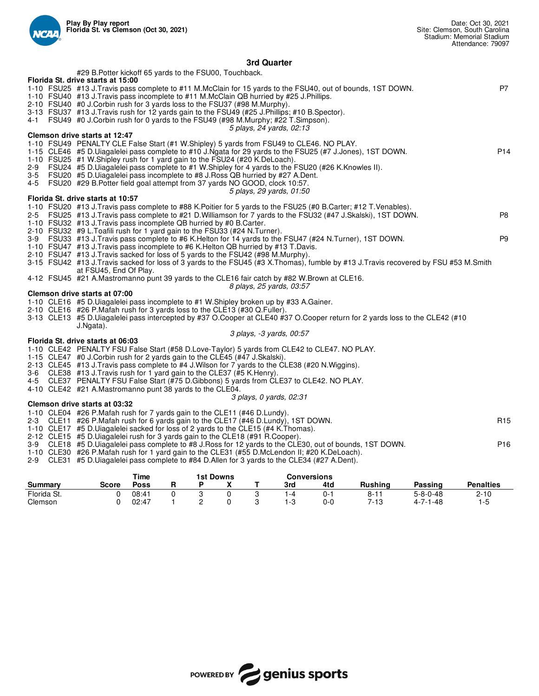

## **3rd Quarter**

|             |         | #29 B. Potter kickoff 65 yards to the FSU00, Touchback.<br>Florida St. drive starts at 15:00                                                                                                  |                     |        |                       |                  |        |                           |                    |                                                                                                                                                                                                                                    |                                      |                   |
|-------------|---------|-----------------------------------------------------------------------------------------------------------------------------------------------------------------------------------------------|---------------------|--------|-----------------------|------------------|--------|---------------------------|--------------------|------------------------------------------------------------------------------------------------------------------------------------------------------------------------------------------------------------------------------------|--------------------------------------|-------------------|
|             |         | 1-10 FSU40 #13 J. Travis pass incomplete to #11 M. McClain QB hurried by #25 J. Phillips.                                                                                                     |                     |        |                       |                  |        |                           |                    | 1-10 FSU25 #13 J. Travis pass complete to #11 M. McClain for 15 yards to the FSU40, out of bounds, 1ST DOWN.                                                                                                                       |                                      | P7                |
|             |         | 2-10 FSU40 #0 J.Corbin rush for 3 yards loss to the FSU37 (#98 M.Murphy).<br>3-13 FSU37 #13 J.Travis rush for 12 yards gain to the FSU49 (#25 J.Phillips; #10 B.Spector).                     |                     |        |                       |                  |        |                           |                    |                                                                                                                                                                                                                                    |                                      |                   |
|             |         | 4-1 FSU49 #0 J.Corbin rush for 0 yards to the FSU49 (#98 M.Murphy; #22 T.Simpson).                                                                                                            |                     |        |                       |                  |        | 5 plays, 24 yards, 02:13  |                    |                                                                                                                                                                                                                                    |                                      |                   |
|             |         | Clemson drive starts at 12:47                                                                                                                                                                 |                     |        |                       |                  |        |                           |                    |                                                                                                                                                                                                                                    |                                      |                   |
|             |         | 1-10 FSU49 PENALTY CLE False Start (#1 W.Shipley) 5 yards from FSU49 to CLE46. NO PLAY.                                                                                                       |                     |        |                       |                  |        |                           |                    | 1-15 CLE46 #5 D.Uiagalelei pass complete to #10 J.Ngata for 29 yards to the FSU25 (#7 J.Jones), 1ST DOWN.                                                                                                                          |                                      | P <sub>14</sub>   |
| 2-9         |         | 1-10 FSU25 #1 W. Shipley rush for 1 yard gain to the FSU24 (#20 K. De Loach).<br>FSU24 #5 D.Uiagalelei pass complete to #1 W.Shipley for 4 yards to the FSU20 (#26 K.Knowles II).             |                     |        |                       |                  |        |                           |                    |                                                                                                                                                                                                                                    |                                      |                   |
| 3-5         |         | FSU20 #5 D. Uiagalelei pass incomplete to #8 J. Ross QB hurried by #27 A. Dent.                                                                                                               |                     |        |                       |                  |        |                           |                    |                                                                                                                                                                                                                                    |                                      |                   |
|             |         | 4-5 FSU20 #29 B. Potter field goal attempt from 37 yards NO GOOD, clock 10:57.                                                                                                                |                     |        |                       |                  |        | 5 plays, 29 yards, 01:50  |                    |                                                                                                                                                                                                                                    |                                      |                   |
|             |         | Florida St. drive starts at 10:57                                                                                                                                                             |                     |        |                       |                  |        |                           |                    |                                                                                                                                                                                                                                    |                                      |                   |
|             |         |                                                                                                                                                                                               |                     |        |                       |                  |        |                           |                    | 1-10 FSU20 #13 J. Travis pass complete to #88 K. Poitier for 5 yards to the FSU25 (#0 B. Carter; #12 T. Venables).<br>2-5 FSU25 #13 J.Travis pass complete to #21 D.Williamson for 7 yards to the FSU32 (#47 J.Skalski), 1ST DOWN. |                                      | P <sub>8</sub>    |
|             |         | 1-10 FSU32 #13 J. Travis pass incomplete QB hurried by #0 B. Carter.<br>2-10 FSU32 #9 L. Toafili rush for 1 yard gain to the FSU33 (#24 N. Turner).                                           |                     |        |                       |                  |        |                           |                    |                                                                                                                                                                                                                                    |                                      |                   |
|             |         |                                                                                                                                                                                               |                     |        |                       |                  |        |                           |                    | 3-9 FSU33 #13 J. Travis pass complete to #6 K. Helton for 14 yards to the FSU47 (#24 N. Turner), 1ST DOWN.                                                                                                                         |                                      | P <sub>9</sub>    |
|             |         | 1-10 FSU47 #13 J. Travis pass incomplete to #6 K. Helton QB hurried by #13 T. Davis.<br>2-10 FSU47 #13 J. Travis sacked for loss of 5 yards to the FSU42 (#98 M. Murphy).                     |                     |        |                       |                  |        |                           |                    |                                                                                                                                                                                                                                    |                                      |                   |
|             |         |                                                                                                                                                                                               |                     |        |                       |                  |        |                           |                    | 3-15 FSU42 #13 J.Travis sacked for loss of 3 yards to the FSU45 (#3 X.Thomas), fumble by #13 J.Travis recovered by FSU #53 M.Smith                                                                                                 |                                      |                   |
|             |         | at FSU45, End Of Play.<br>4-12 FSU45 #21 A.Mastromanno punt 39 yards to the CLE16 fair catch by #82 W.Brown at CLE16.                                                                         |                     |        |                       |                  |        |                           |                    |                                                                                                                                                                                                                                    |                                      |                   |
|             |         | Clemson drive starts at 07:00                                                                                                                                                                 |                     |        |                       |                  |        | 8 plays, 25 yards, 03:57  |                    |                                                                                                                                                                                                                                    |                                      |                   |
|             |         | 1-10 CLE16 #5 D.Uiagalelei pass incomplete to #1 W.Shipley broken up by #33 A.Gainer.                                                                                                         |                     |        |                       |                  |        |                           |                    |                                                                                                                                                                                                                                    |                                      |                   |
|             |         | 2-10 CLE16 #26 P.Mafah rush for 3 yards loss to the CLE13 (#30 Q.Fuller).                                                                                                                     |                     |        |                       |                  |        |                           |                    | 3-13 CLE13 #5 D.Uiagalelei pass intercepted by #37 O.Cooper at CLE40 #37 O.Cooper return for 2 yards loss to the CLE42 (#10                                                                                                        |                                      |                   |
|             |         | J.Ngata).                                                                                                                                                                                     |                     |        |                       |                  |        | 3 plays, -3 yards, 00:57  |                    |                                                                                                                                                                                                                                    |                                      |                   |
|             |         | Florida St. drive starts at 06:03                                                                                                                                                             |                     |        |                       |                  |        |                           |                    |                                                                                                                                                                                                                                    |                                      |                   |
|             |         | 1-10 CLE42 PENALTY FSU False Start (#58 D.Love-Taylor) 5 yards from CLE42 to CLE47. NO PLAY.<br>1-15 CLE47 #0 J.Corbin rush for 2 yards gain to the CLE45 (#47 J.Skalski).                    |                     |        |                       |                  |        |                           |                    |                                                                                                                                                                                                                                    |                                      |                   |
|             |         | 2-13 CLE45 #13 J.Travis pass complete to #4 J.Wilson for 7 yards to the CLE38 (#20 N.Wiggins).                                                                                                |                     |        |                       |                  |        |                           |                    |                                                                                                                                                                                                                                    |                                      |                   |
|             |         | 3-6 CLE38 #13 J.Travis rush for 1 yard gain to the CLE37 (#5 K.Henry).<br>4-5 CLE37 PENALTY FSU False Start (#75 D. Gibbons) 5 yards from CLE37 to CLE42. NO PLAY.                            |                     |        |                       |                  |        |                           |                    |                                                                                                                                                                                                                                    |                                      |                   |
|             |         | 4-10 CLE42 #21 A.Mastromanno punt 38 yards to the CLE04.                                                                                                                                      |                     |        |                       |                  |        | 3 plays, 0 yards, 02:31   |                    |                                                                                                                                                                                                                                    |                                      |                   |
|             |         | Clemson drive starts at 03:32                                                                                                                                                                 |                     |        |                       |                  |        |                           |                    |                                                                                                                                                                                                                                    |                                      |                   |
|             |         | 1-10 CLE04 #26 P.Mafah rush for 7 yards gain to the CLE11 (#46 D.Lundy).<br>2-3 CLE11 #26 P.Mafah rush for 6 yards gain to the CLE17 (#46 D.Lundy), 1ST DOWN.                                 |                     |        |                       |                  |        |                           |                    |                                                                                                                                                                                                                                    |                                      | R <sub>15</sub>   |
|             |         | 1-10 CLE17 #5 D.Uiagalelei sacked for loss of 2 yards to the CLE15 (#4 K.Thomas).                                                                                                             |                     |        |                       |                  |        |                           |                    |                                                                                                                                                                                                                                    |                                      |                   |
|             |         | 2-12 CLE15 #5 D.Uiagalelei rush for 3 yards gain to the CLE18 (#91 R.Cooper).                                                                                                                 |                     |        |                       |                  |        |                           |                    | 3-9 CLE18 #5 D.Uiagalelei pass complete to #8 J.Ross for 12 yards to the CLE30, out of bounds, 1ST DOWN.                                                                                                                           |                                      | P <sub>16</sub>   |
|             |         | 1-10 CLE30 #26 P.Mafah rush for 1 yard gain to the CLE31 (#55 D.McLendon II; #20 K.DeLoach).<br>2-9 CLE31 #5 D.Uiagalelei pass complete to #84 D.Allen for 3 yards to the CLE34 (#27 A.Dent). |                     |        |                       |                  |        |                           |                    |                                                                                                                                                                                                                                    |                                      |                   |
|             |         |                                                                                                                                                                                               |                     |        |                       |                  |        |                           |                    |                                                                                                                                                                                                                                    |                                      |                   |
| Summary     |         | <b>Score</b>                                                                                                                                                                                  | Time<br><b>Poss</b> | R      | <b>1st Downs</b><br>Р | x                | т      | <b>Conversions</b><br>3rd | 4td                | Rushing                                                                                                                                                                                                                            | Passing                              | <b>Penalties</b>  |
| Florida St. | Clemson | 0<br>$\Omega$                                                                                                                                                                                 | 08:41<br>02:47      | 0<br>1 | 3<br>2                | $\mathbf 0$<br>0 | 3<br>3 | $1 - 4$<br>$1 - 3$        | $0 - 1$<br>$0 - 0$ | $8 - 11$<br>7-13                                                                                                                                                                                                                   | $5 - 8 - 0 - 48$<br>$4 - 7 - 1 - 48$ | $2 - 10$<br>$1-5$ |

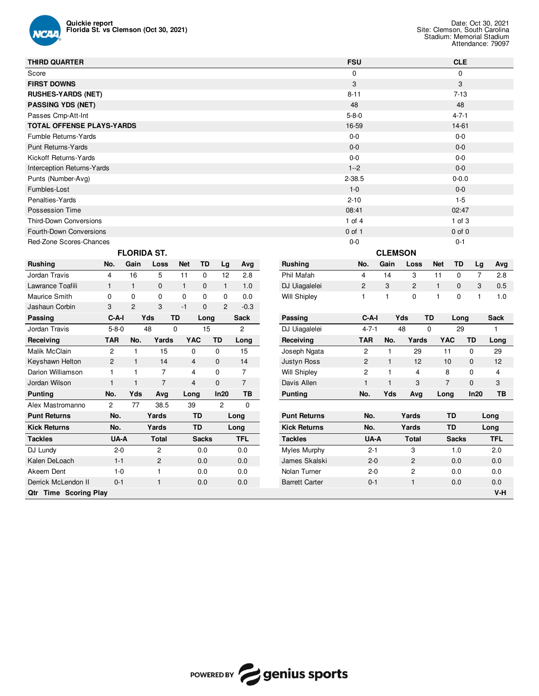

Malik McClain 2 1 15 0 0 15 Keyshawn Helton 2 1 14 4 0 14 Darion Williamson 1 1 1 7 4 0 7 Jordan Wilson 1 1 1 7 4 0 7

**Punting No. Yds Avg Long In20 TB** Alex Mastromanno 2 77 38.5 39 2 0

| <b>THIRD QUARTER</b>              |                |                    |                   |              |              |                |                |                     | <b>FSU</b>  |                |                |                |              | <b>CLE</b>   |                |             |
|-----------------------------------|----------------|--------------------|-------------------|--------------|--------------|----------------|----------------|---------------------|-------------|----------------|----------------|----------------|--------------|--------------|----------------|-------------|
| Score                             |                |                    |                   |              |              |                |                |                     | 0           |                |                |                |              | $\mathbf 0$  |                |             |
| <b>FIRST DOWNS</b>                |                |                    |                   |              |              |                |                |                     | 3           |                |                |                |              | 3            |                |             |
| <b>RUSHES-YARDS (NET)</b>         |                |                    |                   |              |              |                |                |                     | $8 - 11$    |                |                |                |              | $7 - 13$     |                |             |
| <b>PASSING YDS (NET)</b>          |                |                    |                   |              |              |                |                |                     | 48          |                |                |                |              | 48           |                |             |
| Passes Cmp-Att-Int                |                |                    |                   |              |              |                |                |                     | $5 - 8 - 0$ |                |                |                |              | $4 - 7 - 1$  |                |             |
| <b>TOTAL OFFENSE PLAYS-YARDS</b>  |                |                    |                   |              |              |                |                |                     | 16-59       |                |                |                |              | 14-61        |                |             |
| Fumble Returns-Yards              |                |                    |                   |              |              |                |                |                     | $0 - 0$     |                |                |                |              | $0-0$        |                |             |
| <b>Punt Returns-Yards</b>         |                |                    |                   |              |              |                |                |                     | $0 - 0$     |                |                |                |              | $0-0$        |                |             |
| Kickoff Returns-Yards             |                |                    |                   |              |              |                |                |                     | $0 - 0$     |                |                |                |              | $0-0$        |                |             |
| <b>Interception Returns-Yards</b> |                |                    |                   |              |              |                |                |                     | $1 - 2$     |                |                |                |              | $0-0$        |                |             |
| Punts (Number-Avg)                |                |                    |                   |              |              |                |                |                     | $2 - 38.5$  |                |                |                |              | $0 - 0.0$    |                |             |
| Fumbles-Lost                      |                |                    |                   |              |              |                |                |                     | $1 - 0$     |                |                |                |              | $0-0$        |                |             |
| Penalties-Yards                   |                |                    |                   |              |              |                |                |                     | $2 - 10$    |                |                |                |              | $1 - 5$      |                |             |
| Possession Time                   |                |                    |                   |              |              |                |                |                     | 08:41       |                |                |                |              | 02:47        |                |             |
| <b>Third-Down Conversions</b>     |                |                    |                   |              |              |                |                |                     | $1$ of $4$  |                |                |                |              | $1$ of $3$   |                |             |
| Fourth-Down Conversions           |                |                    |                   |              |              |                |                |                     | $0$ of 1    |                |                |                |              | $0$ of $0$   |                |             |
| Red-Zone Scores-Chances           |                |                    |                   |              |              |                |                |                     | $0-0$       |                |                |                |              | $0 - 1$      |                |             |
|                                   |                | <b>FLORIDA ST.</b> |                   |              |              |                |                |                     |             |                | <b>CLEMSON</b> |                |              |              |                |             |
| <b>Rushing</b>                    | No.            | Gain               | Loss              | <b>Net</b>   | TD           | Lg             | Avg            | <b>Rushing</b>      |             | No.            | Gain           | Loss           | <b>Net</b>   | <b>TD</b>    | Lg             | Avg         |
| Jordan Travis                     | $\overline{4}$ | 16                 | 5                 | 11           | $\mathbf 0$  | 12             | 2.8            | Phil Mafah          |             | $\overline{4}$ | 14             | 3              | 11           | $\mathbf 0$  | $\overline{7}$ | 2.8         |
| Lawrance Toafili                  | $\mathbf{1}$   | $\mathbf{1}$       | $\mathbf 0$       | $\mathbf{1}$ | $\mathbf{0}$ | $\mathbf{1}$   | 1.0            | DJ Uiagalelei       |             | $\overline{2}$ | 3              | $\overline{2}$ | $\mathbf{1}$ | $\mathbf{0}$ | 3              | 0.5         |
| Maurice Smith                     | 0              | 0                  | 0                 | 0            | 0            | 0              | 0.0            | <b>Will Shipley</b> |             | $\mathbf{1}$   | 1              | 0              | 1            | $\mathbf 0$  | 1              | 1.0         |
| Jashaun Corbin                    | 3              | $\overline{2}$     | 3                 | $-1$         | $\mathbf{0}$ | $\overline{2}$ | $-0.3$         |                     |             |                |                |                |              |              |                |             |
| Passing                           | $C-A-I$        |                    | Yds<br>TD         |              | Long         |                | <b>Sack</b>    | Passing             |             | $C-A-I$        |                | Yds            | <b>TD</b>    | Long         |                | <b>Sack</b> |
| Jordan Travis                     | $5 - 8 - 0$    |                    | 48<br>$\mathbf 0$ |              | 15           |                | $\overline{c}$ | DJ Uiagalelei       |             | $4 - 7 - 1$    |                | 48             | $\mathbf 0$  | 29           |                |             |
| Receiving                         | <b>TAR</b>     | No.                | Yards             | <b>YAC</b>   | <b>TD</b>    |                | Long           | Receiving           |             | <b>TAR</b>     | No.            | Yards          | <b>YAC</b>   |              | <b>TD</b>      | Long        |

**Qtr Time Scoring Play** 

| Passing             | C-A-I       | Yds | <b>TD</b> | Long       |          | <b>Sack</b> |
|---------------------|-------------|-----|-----------|------------|----------|-------------|
| DJ Uiagalelei       | $4 - 7 - 1$ | 48  | 0         | 29         |          |             |
| Receiving           | TAR         | No. | Yards     | <b>YAC</b> | TD       | Long        |
| Joseph Ngata        | 2           |     | 29        | 11         | 0        | 29          |
| Justyn Ross         | 2           |     | 12        | 10         | $\Omega$ | 12          |
| <b>Will Shipley</b> | 2           |     | 4         | 8          | 0        | 4           |
| Davis Allen         |             | 1   | 3         | 7          | $\Omega$ | 3           |
| Puntina             | No.         | Yds | Ava       | Lona       | In20     | ΤВ          |

| טווווטווטוומאו גאור   |         | ບບ.ບ           | ື            | v    |                       |         |              |              |            |
|-----------------------|---------|----------------|--------------|------|-----------------------|---------|--------------|--------------|------------|
| <b>Punt Returns</b>   | No.     | Yards          | TD           | Long | <b>Punt Returns</b>   | No.     | Yards        | TD           | Long       |
| Kick Returns          | No.     | Yards          | TD           | Long | <b>Kick Returns</b>   | No.     | Yards        | TD           | Long       |
| Tackles               | UA-A    | <b>Total</b>   | <b>Sacks</b> | TFL  | <b>Tackles</b>        | UA-A    | <b>Total</b> | <b>Sacks</b> | <b>TFL</b> |
| DJ Lundy              | $2 - 0$ | 2              | 0.0          | 0.0  | Myles Murphy          | $2 - 1$ | З            | 0. ا         | 2.0        |
| Kalen DeLoach         | $1 - 1$ | $\overline{c}$ | 0.0          | 0.0  | James Skalski         | $2 - 0$ | 2            | 0.0          | 0.0        |
| Akeem Dent            | 1-0     |                | 0.0          | 0.0  | Nolan Turner          | $2 - 0$ | 2            | 0.0          | 0.0        |
| Derrick McLendon II   | $0 - 1$ |                | 0.0          | 0.0  | <b>Barrett Carter</b> | $0 - 1$ |              | 0.0          | 0.0        |
| Qtr Time Scoring Play |         |                |              |      |                       |         |              |              | $V-H$      |

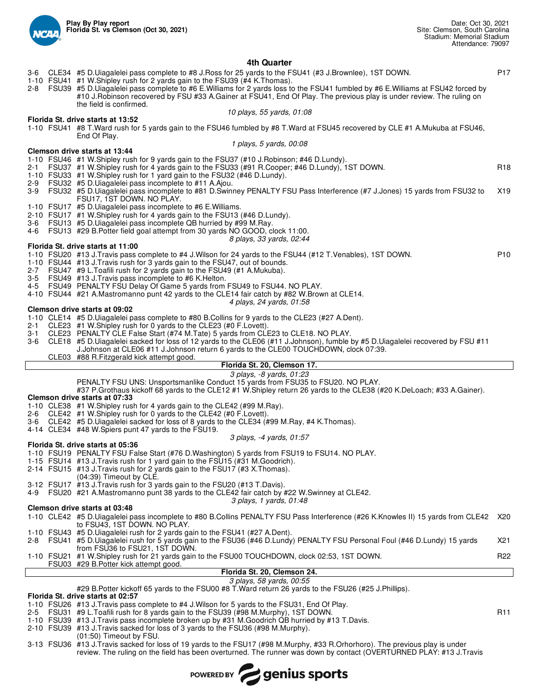

#### **4th Quarter**

- 3-6 CLE34 #5 D.Uiagalelei pass complete to #8 J.Ross for 25 yards to the FSU41 (#3 J.Brownlee), 1ST DOWN. P17
	-
- 1-10 FSU41 #1 W.Shipley rush for 2 yards gain to the FSU39 (#4 K.Thomas). 2-8 FSU39 #5 D.Uiagalelei pass complete to #6 E.Williams for 2 yards loss to the FSU41 fumbled by #6 E.Williams at FSU42 forced by #10 J.Robinson recovered by FSU #33 A.Gainer at FSU41, End Of Play. The previous play is under review. The ruling on the field is confirmed. *10 plays, 55 yards, 01:08*

#### **Florida St. drive starts at 13:52**

1-10 FSU41 #8 T.Ward rush for 5 yards gain to the FSU46 fumbled by #8 T.Ward at FSU45 recovered by CLE #1 A.Mukuba at FSU46, End Of Play.

#### *1 plays, 5 yards, 00:08*

- **Clemson drive starts at 13:44**
- 1-10 FSU46 #1 W.Shipley rush for 9 yards gain to the FSU37 (#10 J.Robinson; #46 D.Lundy).
- FSU37 #1 W.Shipley rush for 4 yards gain to the FSU33 (#91 R.Cooper; #46 D.Lundy), 1ST DOWN.
- 1-10 FSU33 #1 W.Shipley rush for 1 yard gain to the FSU32 (#46 D.Lundy).
- FSU32 #5 D.Uiagalelei pass incomplete to #11 A.Ajou.
- 3-9 FSU32 #5 D.Uiagalelei pass incomplete to #81 D.Swinney PENALTY FSU Pass Interference (#7 J.Jones) 15 yards from FSU32 to FSU17, 1ST DOWN. NO PLAY. X19
- 1-10 FSU17 #5 D.Uiagalelei pass incomplete to #6 E.Williams.
- 2-10 FSU17 #1 W.Shipley rush for 4 yards gain to the FSU13 (#46 D.Lundy).<br>3-6 FSU13 #5 D.Ulagalelei pass incomplete QB hurried by #99 M.Ray.
- FSU13 #5 D.Uiagalelei pass incomplete QB hurried by #99 M.Ray.
- 4-6 FSU13 #29 B.Potter field goal attempt from 30 yards NO GOOD, clock 11:00.
	- *8 plays, 33 yards, 02:44*

#### **Florida St. drive starts at 11:00**

1-10 FSU20 #13 J.Travis pass complete to #4 J.Wilson for 24 yards to the FSU44 (#12 T.Venables), 1ST DOWN. P10

- 1-10 FSU44 #13 J.Travis rush for 3 yards gain to the FSU47, out of bounds.
- 2-7 FSU47 #9 L.Toafili rush for 2 yards gain to the FSU49 (#1 A.Mukuba).
- 3-5 FSU49 #13 J.Travis pass incomplete to #6 K.Helton.
- 4-5 FSU49 PENALTY FSU Delay Of Game 5 yards from FSU49 to FSU44. NO PLAY.
- 4-10 FSU44 #21 A.Mastromanno punt 42 yards to the CLE14 fair catch by #82 W.Brown at CLE14.
	- *4 plays, 24 yards, 01:58*

#### **Clemson drive starts at 09:02**

- 1-10 CLE14 #5 D.Uiagalelei pass complete to #80 B.Collins for 9 yards to the CLE23 (#27 A.Dent).
- 2-1 CLE23 #1 W.Shipley rush for 0 yards to the CLE23 (#0 F.Lovett).
- 3-1 CLE23 PENALTY CLE False Start (#74 M.Tate) 5 yards from CLE23 to CLE18. NO PLAY.
- 3-6 CLE18 #5 D.Uiagalelei sacked for loss of 12 yards to the CLE06 (#11 J.Johnson), fumble by #5 D.Uiagalelei recovered by FSU #11
	- J.Johnson at CLE06 #11 J.Johnson return 6 yards to the CLE00 TOUCHDOWN, clock 07:39.
	- CLE03 #88 R.Fitzgerald kick attempt good.

## **Florida St. 20, Clemson 17.**

- *3 plays, -8 yards, 01:23*
- PENALTY FSU UNS: Unsportsmanlike Conduct 15 yards from FSU35 to FSU20. NO PLAY.
- #37 P.Grothaus kickoff 68 yards to the CLE12 #1 W.Shipley return 26 yards to the CLE38 (#20 K.DeLoach; #33 A.Gainer).

#### **Clemson drive starts at 07:33**

- 1-10 CLE38 #1 W.Shipley rush for 4 yards gain to the CLE42 (#99 M.Ray).
- 2-6 CLE42 #1 W.Shipley rush for 0 yards to the CLE42 (#0 F.Lovett).
- 3-6 CLE42 #5 D.Uiagalelei sacked for loss of 8 yards to the CLE34 (#99 M.Ray, #4 K.Thomas).
- 4-14 CLE34 #48 W.Spiers punt 47 yards to the FSU19.

#### *3 plays, -4 yards, 01:57*

- **Florida St. drive starts at 05:36** 1-10 FSU19 PENALTY FSU False Start (#76 D.Washington) 5 yards from FSU19 to FSU14. NO PLAY.
- 1-15 FSU14 #13 J.Travis rush for 1 yard gain to the FSU15 (#31 M.Goodrich).
- 2-14 FSU15 #13 J.Travis rush for 2 yards gain to the FSU17 (#3 X.Thomas).
- (04:39) Timeout by CLE.
- 3-12 FSU17 #13 J.Travis rush for 3 yards gain to the FSU20 (#13 T.Davis).
- 4-9 FSU20 #21 A.Mastromanno punt 38 yards to the CLE42 fair catch by #22 W.Swinney at CLE42.
	- *3 plays, 1 yards, 01:48*

## **Clemson drive starts at 03:48**

- 1-10 CLE42 #5 D.Uiagalelei pass incomplete to #80 B.Collins PENALTY FSU Pass Interference (#26 K.Knowles II) 15 yards from CLE42 X20 to FSU43, 1ST DOWN. NO PLAY.
- 1-10 FSU43 #5 D.Uiagalelei rush for 2 yards gain to the FSU41 (#27 A.Dent).
- 2-8 FSU41 #5 D.Uiagalelei rush for 5 yards gain to the FSU36 (#46 D.Lundy) PENALTY FSU Personal Foul (#46 D.Lundy) 15 yards from FSU36 to FSU21, 1ST DOWN. X21

1-10 FSU21 #1 W.Shipley rush for 21 yards gain to the FSU00 TOUCHDOWN, clock 02:53, 1ST DOWN. R22 FSU03 #29 B.Potter kick attempt good.

## **Florida St. 20, Clemson 24.**

## *3 plays, 58 yards, 00:55*

#29 B.Potter kickoff 65 yards to the FSU00 #8 T.Ward return 26 yards to the FSU26 (#25 J.Phillips).

#### **Florida St. drive starts at 02:57**

- 1-10 FSU26 #13 J.Travis pass complete to #4 J.Wilson for 5 yards to the FSU31, End Of Play.
- FSU31 #9 L.Toafili rush for 8 yards gain to the FSU39 (#98 M.Murphy), 1ST DOWN. Funching the state of the R11
- 1-10 FSU39 #13 J.Travis pass incomplete broken up by #31 M.Goodrich QB hurried by #13 T.Davis.
- 2-10 FSU39 #13 J.Travis sacked for loss of 3 yards to the FSU36 (#98 M.Murphy).
- (01:50) Timeout by FSU.
- 3-13 FSU36 #13 J.Travis sacked for loss of 19 yards to the FSU17 (#98 M.Murphy, #33 R.Orhorhoro). The previous play is under review. The ruling on the field has been overturned. The runner was down by contact (OVERTURNED PLAY: #13 J.Travis

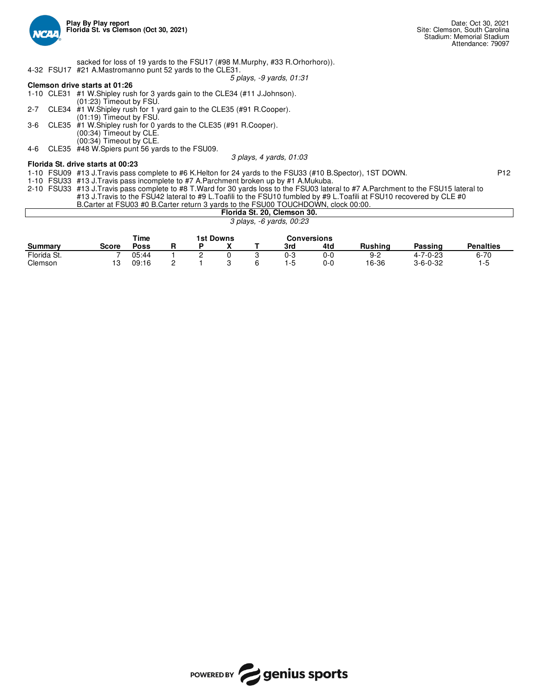

sacked for loss of 19 yards to the FSU17 (#98 M.Murphy, #33 R.Orhorhoro)). 4-32 FSU17 #21 A.Mastromanno punt 52 yards to the CLE31.

*5 plays, -9 yards, 01:31*

*3 plays, 4 yards, 01:03*

## **Clemson drive starts at 01:26**

|         | 1-10 CLE31 #1 W. Shipley rush for 3 yards gain to the CLE34 (#11 J. Johnson). |
|---------|-------------------------------------------------------------------------------|
|         | $(01:23)$ Timeout by FSU.                                                     |
| $2 - 7$ | CLE34 #1 W. Shipley rush for 1 yard gain to the CLE35 (#91 R. Cooper).        |
|         | $(01:19)$ Timeout by FSU.                                                     |
| $3-6$   | CLE35 #1 W. Shipley rush for 0 yards to the CLE35 (#91 R. Cooper).            |
|         | (00:34) Timeout by CLE.                                                       |
|         | (00:34) Timeout by CLE.                                                       |
|         |                                                                               |

4-6 CLE35 #48 W.Spiers punt 56 yards to the FSU09.

## **Florida St. drive starts at 00:23**

1-10 FSU09 #13 J.Travis pass complete to #6 K.Helton for 24 yards to the FSU33 (#10 B.Spector), 1ST DOWN. P12

1-10 FSU33 #13 J.Travis pass incomplete to #7 A.Parchment broken up by #1 A.Mukuba.

2-10 FSU33 #13 J.Travis pass complete to #8 T.Ward for 30 yards loss to the FSU03 lateral to #7 A.Parchment to the FSU15 lateral to #13 J.Travis to the FSU42 lateral to #9 L.Toafili to the FSU10 fumbled by #9 L.Toafili at FSU10 recovered by CLE #0 B.Carter at FSU03 #0 B.Carter return 3 yards to the FSU00 TOUCHDOWN, clock 00:00.

Clemson 13 09:16 2 1 3 6 1-5 0-0 16-36 3-6-0-32 1-5

|             | <b>Broartor at Footo II's Broartor Foturii o Varus to the Footo TOOOHDOWN, 0100N 00.00.</b> |             |  |           |                             |                    |         |                  |                  |
|-------------|---------------------------------------------------------------------------------------------|-------------|--|-----------|-----------------------------|--------------------|---------|------------------|------------------|
|             |                                                                                             |             |  |           | Florida St. 20, Clemson 30. |                    |         |                  |                  |
|             |                                                                                             |             |  |           | 3 plays, -6 yards, 00:23    |                    |         |                  |                  |
|             |                                                                                             | Time        |  | 1st Downs |                             | <b>Conversions</b> |         |                  |                  |
| Summarv     | <b>Score</b>                                                                                | <b>Poss</b> |  |           | 3rd                         | 4td                | Rushina | Passing          | <b>Penalties</b> |
| Florida St. |                                                                                             | 05:44       |  |           | 0-3                         | 0-0                | $9-2$   | $4 - 7 - 0 - 23$ | $6 - 70$         |